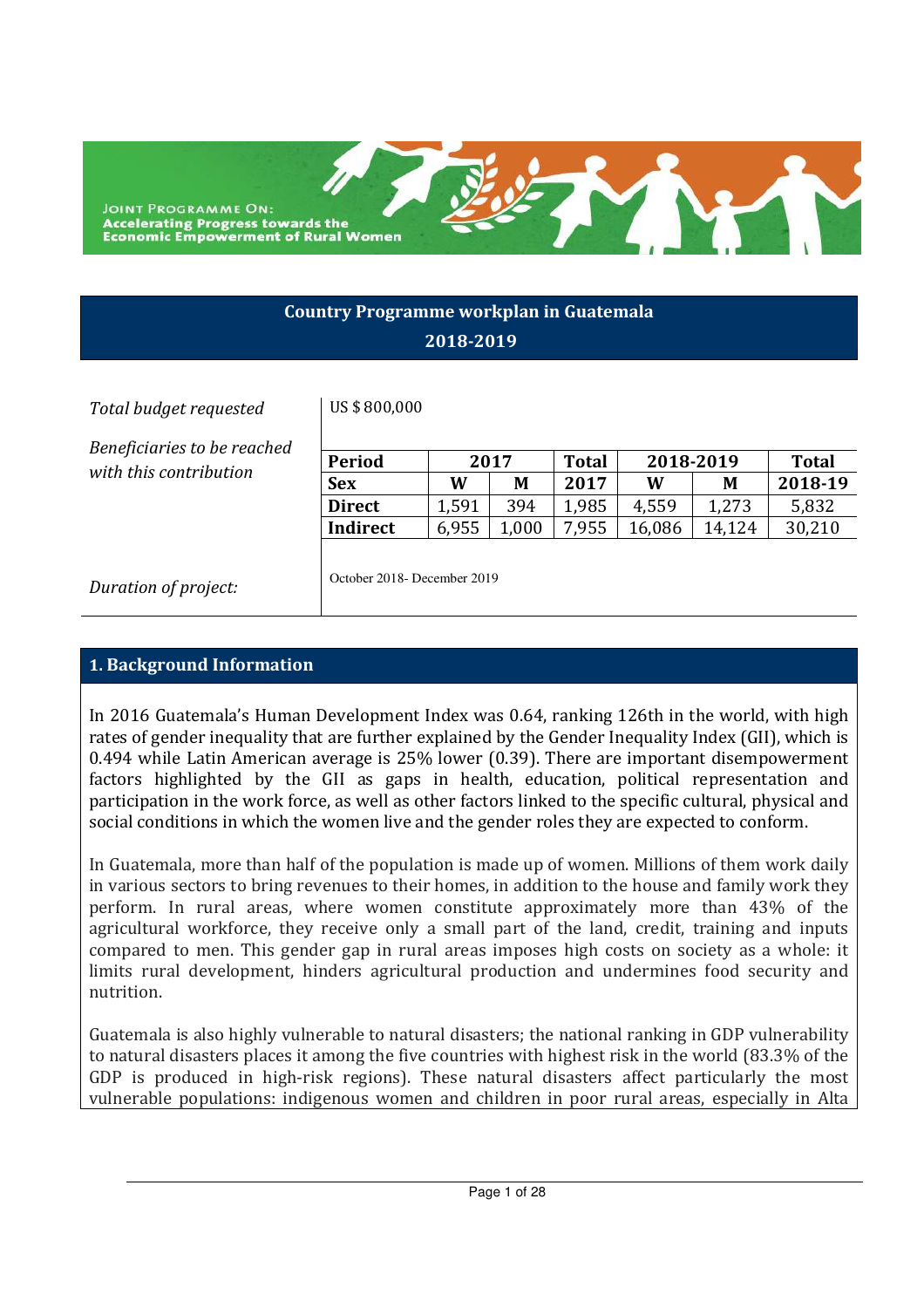**JOINT PROGRAMME ON: Accelerating Progress towards the<br>Economic Empowerment of Rural Women** 

## **Country Programme workplan in Guatemala 2018-2019**

#### *Total budget requested* US \$ 800,000

*Beneficiaries to be reached*   $with this contribution$ 

| <b>Period</b> | 2017  |      | <b>Total</b> | 2018-2019 |        | Total   |  |
|---------------|-------|------|--------------|-----------|--------|---------|--|
| <b>Sex</b>    | W     | М    | 2017         | W         | М      | 2018-19 |  |
| <b>Direct</b> | 1,591 | 394  | 1,985        | 4,559     | 1,273  | 5,832   |  |
| Indirect      | 6,955 | .000 | 7.955        | 16,086    | 14.124 | 30,210  |  |

*Duration of project:* Correction Correction of *project:* 

## **1. Background Information**

In 2016 Guatemala's Human Development Index was 0.64, ranking 126th in the world, with high rates of gender inequality that are further explained by the Gender Inequality Index (GII), which is 0.494 while Latin American average is 25% lower (0.39). There are important disempowerment factors highlighted by the GII as gaps in health, education, political representation and participation in the work force, as well as other factors linked to the specific cultural, physical and social conditions in which the women live and the gender roles they are expected to conform.

In Guatemala, more than half of the population is made up of women. Millions of them work daily in various sectors to bring revenues to their homes, in addition to the house and family work they perform. In rural areas, where women constitute approximately more than 43% of the agricultural workforce, they receive only a small part of the land, credit, training and inputs compared to men. This gender gap in rural areas imposes high costs on society as a whole: it limits rural development, hinders agricultural production and undermines food security and nutrition.

Guatemala is also highly vulnerable to natural disasters; the national ranking in GDP vulnerability to natural disasters places it among the five countries with highest risk in the world (83.3% of the GDP is produced in high-risk regions). These natural disasters affect particularly the most vulnerable populations: indigenous women and children in poor rural areas, especially in Alta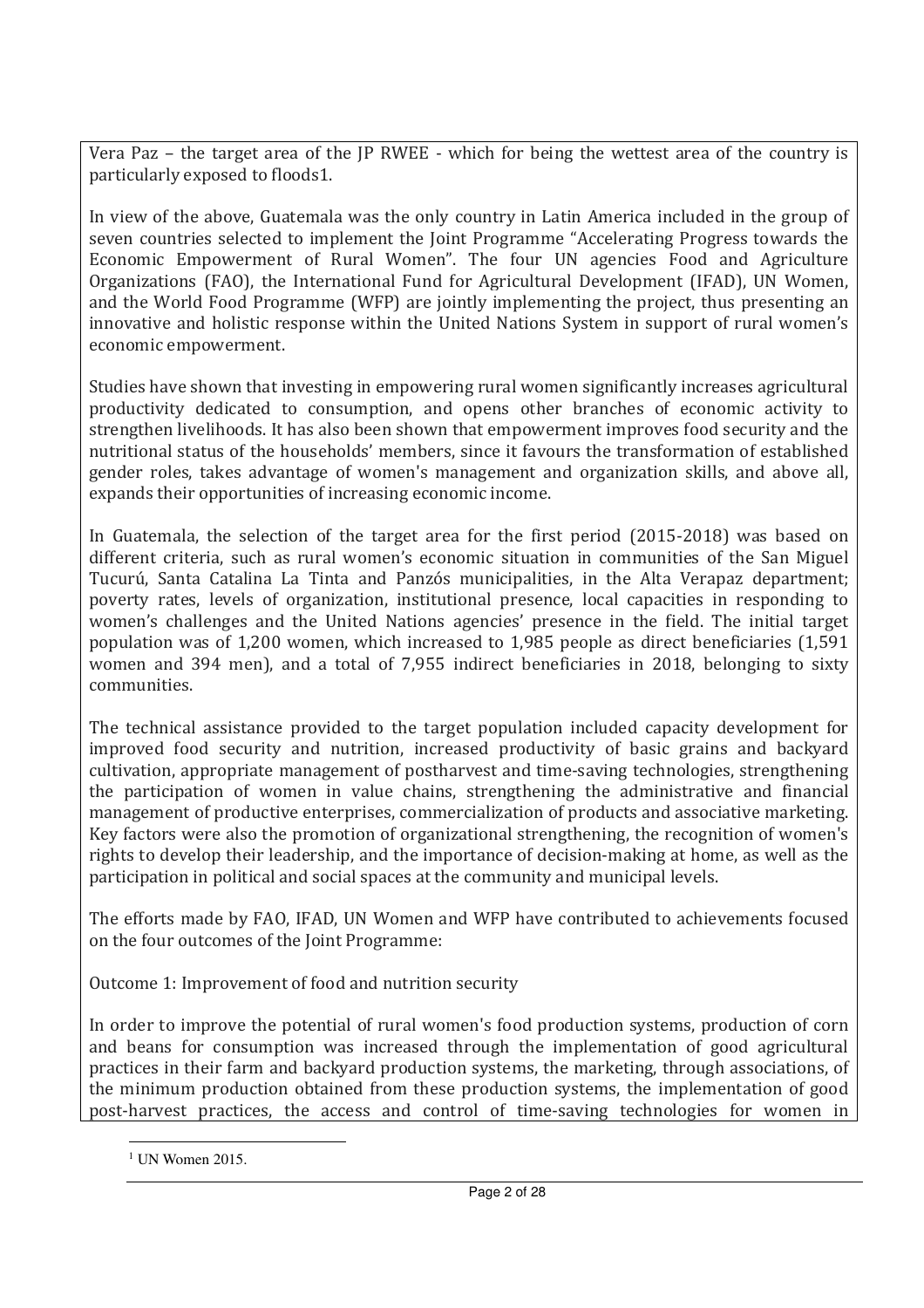Vera Paz – the target area of the JP RWEE - which for being the wettest area of the country is particularly exposed to floods1.

In view of the above, Guatemala was the only country in Latin America included in the group of seven countries selected to implement the Joint Programme "Accelerating Progress towards the Economic Empowerment of Rural Women". The four UN agencies Food and Agriculture Organizations (FAO), the International Fund for Agricultural Development (IFAD), UN Women, and the World Food Programme (WFP) are jointly implementing the project, thus presenting an innovative and holistic response within the United Nations System in support of rural women's economic empowerment.

Studies have shown that investing in empowering rural women significantly increases agricultural productivity dedicated to consumption, and opens other branches of economic activity to strengthen livelihoods. It has also been shown that empowerment improves food security and the nutritional status of the households' members, since it favours the transformation of established gender roles, takes advantage of women's management and organization skills, and above all, expands their opportunities of increasing economic income.

In Guatemala, the selection of the target area for the first period (2015-2018) was based on different criteria, such as rural women's economic situation in communities of the San Miguel Tucurú, Santa Catalina La Tinta and Panzós municipalities, in the Alta Verapaz department; poverty rates, levels of organization, institutional presence, local capacities in responding to women's challenges and the United Nations agencies' presence in the field. The initial target population was of 1,200 women, which increased to 1,985 people as direct beneficiaries (1,591 women and 394 men), and a total of 7,955 indirect beneficiaries in 2018, belonging to sixty communities.

The technical assistance provided to the target population included capacity development for improved food security and nutrition, increased productivity of basic grains and backyard cultivation, appropriate management of postharvest and time-saving technologies, strengthening the participation of women in value chains, strengthening the administrative and financial management of productive enterprises, commercialization of products and associative marketing. Key factors were also the promotion of organizational strengthening, the recognition of women's rights to develop their leadership, and the importance of decision-making at home, as well as the participation in political and social spaces at the community and municipal levels.

The efforts made by FAO, IFAD, UN Women and WFP have contributed to achievements focused on the four outcomes of the Joint Programme:

Outcome 1: Improvement of food and nutrition security

In order to improve the potential of rural women's food production systems, production of corn and beans for consumption was increased through the implementation of good agricultural practices in their farm and backyard production systems, the marketing, through associations, of the minimum production obtained from these production systems, the implementation of good post-harvest practices, the access and control of time-saving technologies for women in

 $\overline{a}$ 

<sup>&</sup>lt;sup>1</sup> UN Women 2015.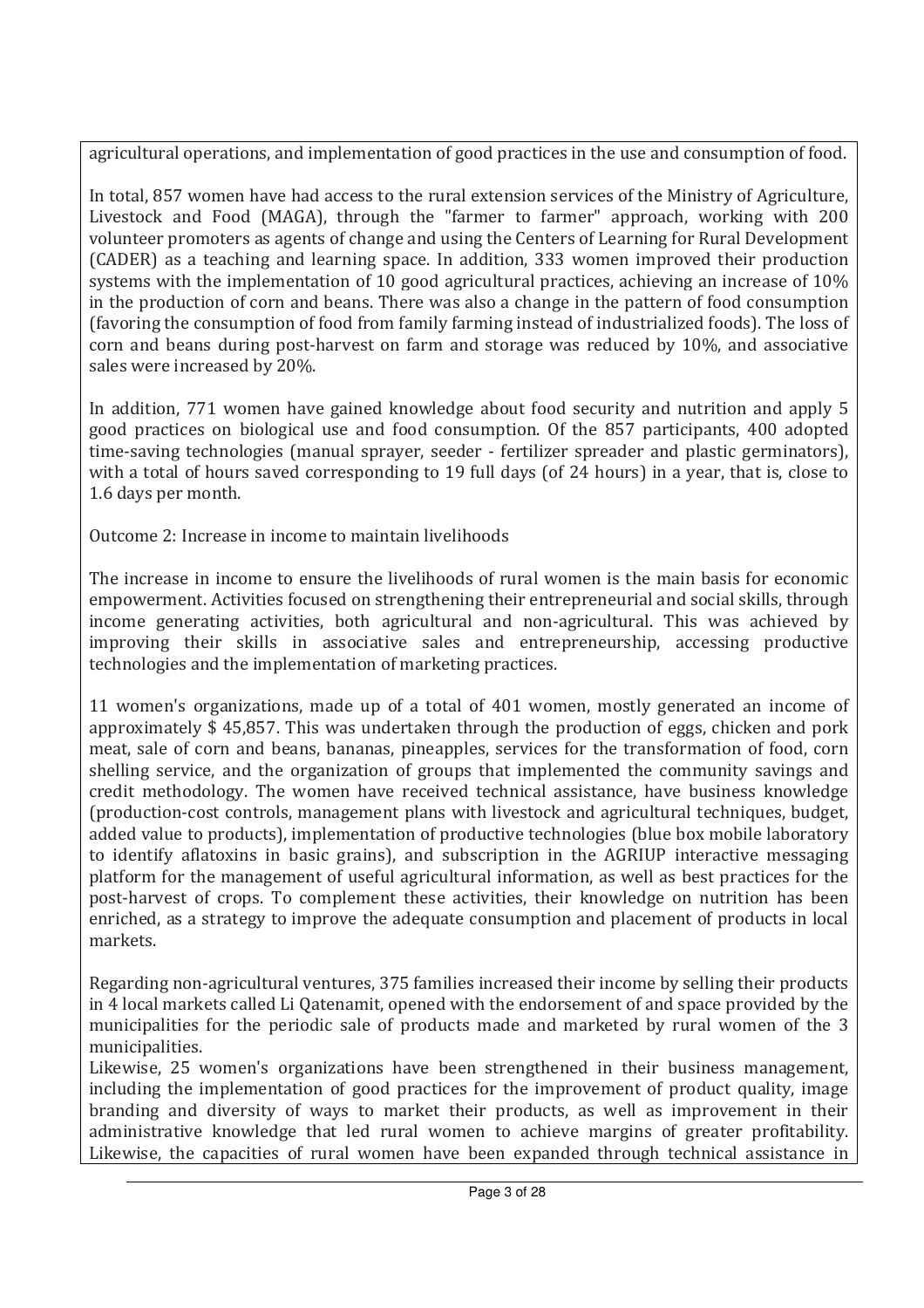agricultural operations, and implementation of good practices in the use and consumption of food.

In total, 857 women have had access to the rural extension services of the Ministry of Agriculture, Livestock and Food (MAGA), through the "farmer to farmer" approach, working with 200 volunteer promoters as agents of change and using the Centers of Learning for Rural Development (CADER) as a teaching and learning space. In addition, 333 women improved their production systems with the implementation of 10 good agricultural practices, achieving an increase of 10% in the production of corn and beans. There was also a change in the pattern of food consumption (favoring the consumption of food from family farming instead of industrialized foods). The loss of corn and beans during post-harvest on farm and storage was reduced by 10%, and associative sales were increased by 20%.

In addition, 771 women have gained knowledge about food security and nutrition and apply 5 good practices on biological use and food consumption. Of the 857 participants, 400 adopted time-saving technologies (manual sprayer, seeder - fertilizer spreader and plastic germinators), with a total of hours saved corresponding to 19 full days (of 24 hours) in a year, that is, close to 1.6 days per month.

Outcome 2: Increase in income to maintain livelihoods

The increase in income to ensure the livelihoods of rural women is the main basis for economic empowerment. Activities focused on strengthening their entrepreneurial and social skills, through income generating activities, both agricultural and non-agricultural. This was achieved by improving their skills in associative sales and entrepreneurship, accessing productive technologies and the implementation of marketing practices.

11 women's organizations, made up of a total of 401 women, mostly generated an income of approximately \$ 45,857. This was undertaken through the production of eggs, chicken and pork meat, sale of corn and beans, bananas, pineapples, services for the transformation of food, corn shelling service, and the organization of groups that implemented the community savings and credit methodology. The women have received technical assistance, have business knowledge (production-cost controls, management plans with livestock and agricultural techniques, budget, added value to products), implementation of productive technologies (blue box mobile laboratory to identify aflatoxins in basic grains), and subscription in the AGRIUP interactive messaging platform for the management of useful agricultural information, as well as best practices for the post-harvest of crops. To complement these activities, their knowledge on nutrition has been enriched, as a strategy to improve the adequate consumption and placement of products in local markets.

Regarding non-agricultural ventures, 375 families increased their income by selling their products in 4 local markets called Li Qatenamit, opened with the endorsement of and space provided by the municipalities for the periodic sale of products made and marketed by rural women of the 3 municipalities.

Likewise, 25 women's organizations have been strengthened in their business management, including the implementation of good practices for the improvement of product quality, image branding and diversity of ways to market their products, as well as improvement in their administrative knowledge that led rural women to achieve margins of greater profitability. Likewise, the capacities of rural women have been expanded through technical assistance in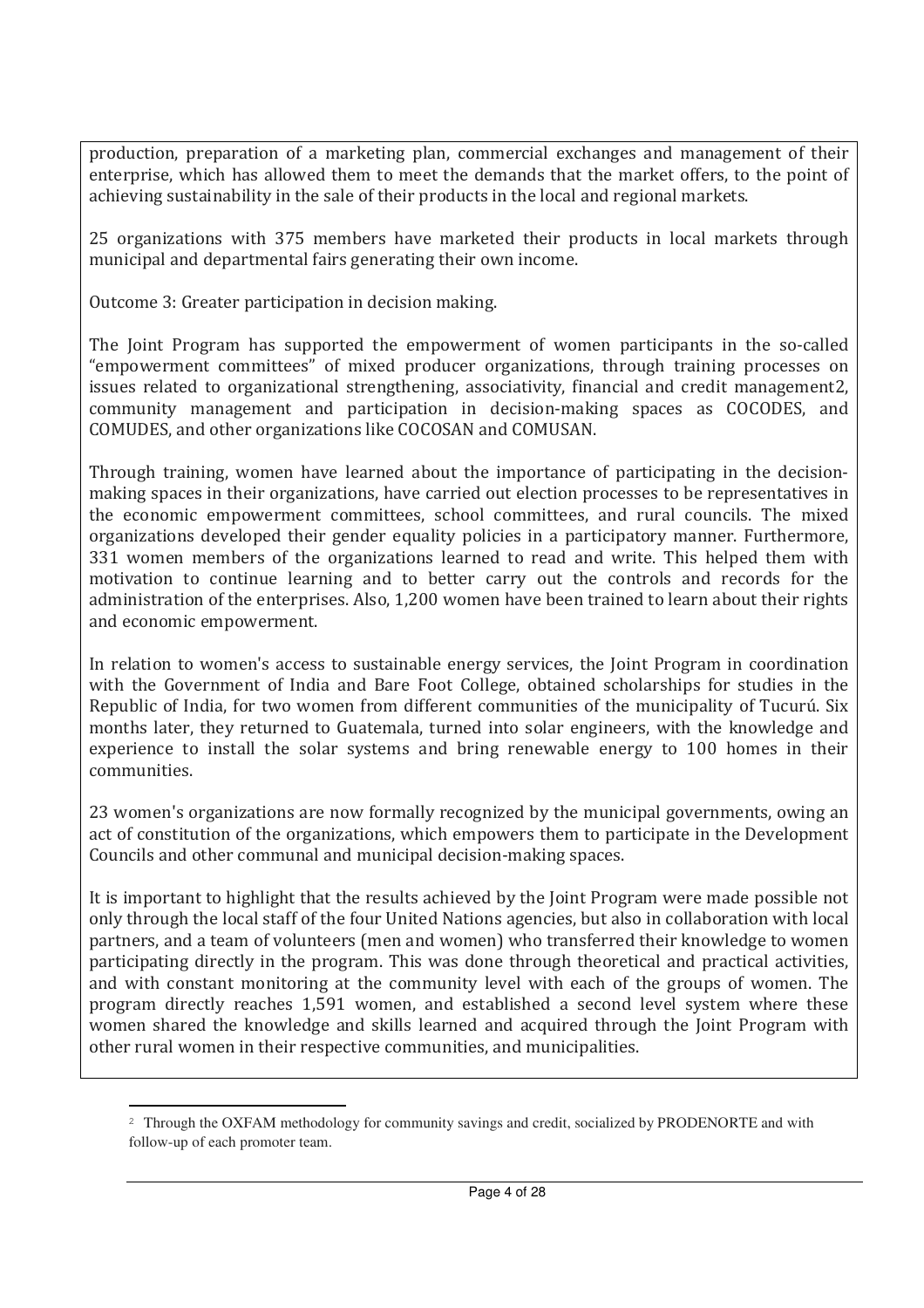production, preparation of a marketing plan, commercial exchanges and management of their enterprise, which has allowed them to meet the demands that the market offers, to the point of achieving sustainability in the sale of their products in the local and regional markets.

25 organizations with 375 members have marketed their products in local markets through municipal and departmental fairs generating their own income.

Outcome 3: Greater participation in decision making.

 $\overline{a}$ 

The Joint Program has supported the empowerment of women participants in the so-called "empowerment committees" of mixed producer organizations, through training processes on issues related to organizational strengthening, associativity, financial and credit management2, community management and participation in decision-making spaces as COCODES, and COMUDES, and other organizations like COCOSAN and COMUSAN.

Through training, women have learned about the importance of participating in the decisionmaking spaces in their organizations, have carried out election processes to be representatives in the economic empowerment committees, school committees, and rural councils. The mixed organizations developed their gender equality policies in a participatory manner. Furthermore, 331 women members of the organizations learned to read and write. This helped them with motivation to continue learning and to better carry out the controls and records for the administration of the enterprises. Also, 1,200 women have been trained to learn about their rights and economic empowerment.

In relation to women's access to sustainable energy services, the Joint Program in coordination with the Government of India and Bare Foot College, obtained scholarships for studies in the Republic of India, for two women from different communities of the municipality of Tucurú. Six months later, they returned to Guatemala, turned into solar engineers, with the knowledge and experience to install the solar systems and bring renewable energy to 100 homes in their communities.

23 women's organizations are now formally recognized by the municipal governments, owing an act of constitution of the organizations, which empowers them to participate in the Development Councils and other communal and municipal decision-making spaces.

It is important to highlight that the results achieved by the Joint Program were made possible not only through the local staff of the four United Nations agencies, but also in collaboration with local partners, and a team of volunteers (men and women) who transferred their knowledge to women participating directly in the program. This was done through theoretical and practical activities, and with constant monitoring at the community level with each of the groups of women. The program directly reaches 1,591 women, and established a second level system where these women shared the knowledge and skills learned and acquired through the Joint Program with other rural women in their respective communities, and municipalities.

<sup>&</sup>lt;sup>2</sup> Through the OXFAM methodology for community savings and credit, socialized by PRODENORTE and with follow-up of each promoter team.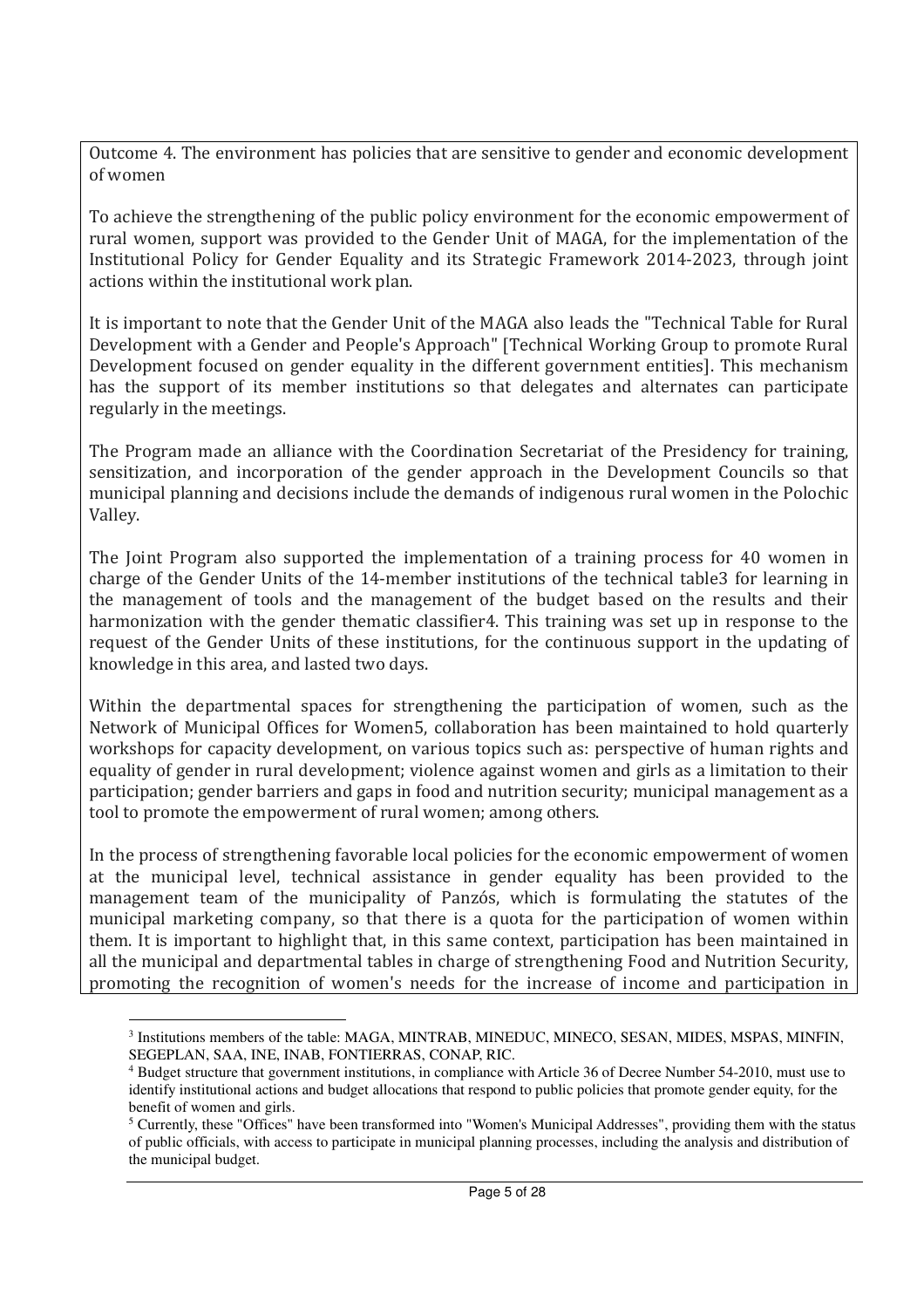Outcome 4. The environment has policies that are sensitive to gender and economic development of women

To achieve the strengthening of the public policy environment for the economic empowerment of rural women, support was provided to the Gender Unit of MAGA, for the implementation of the Institutional Policy for Gender Equality and its Strategic Framework 2014-2023, through joint actions within the institutional work plan.

It is important to note that the Gender Unit of the MAGA also leads the "Technical Table for Rural Development with a Gender and People's Approach" [Technical Working Group to promote Rural Development focused on gender equality in the different government entities]. This mechanism has the support of its member institutions so that delegates and alternates can participate regularly in the meetings.

The Program made an alliance with the Coordination Secretariat of the Presidency for training, sensitization, and incorporation of the gender approach in the Development Councils so that municipal planning and decisions include the demands of indigenous rural women in the Polochic Valley.

The Joint Program also supported the implementation of a training process for 40 women in charge of the Gender Units of the 14-member institutions of the technical table3 for learning in the management of tools and the management of the budget based on the results and their harmonization with the gender thematic classifier4. This training was set up in response to the request of the Gender Units of these institutions, for the continuous support in the updating of knowledge in this area, and lasted two days.

Within the departmental spaces for strengthening the participation of women, such as the Network of Municipal Offices for Women5, collaboration has been maintained to hold quarterly workshops for capacity development, on various topics such as: perspective of human rights and equality of gender in rural development; violence against women and girls as a limitation to their participation; gender barriers and gaps in food and nutrition security; municipal management as a tool to promote the empowerment of rural women; among others.

In the process of strengthening favorable local policies for the economic empowerment of women at the municipal level, technical assistance in gender equality has been provided to the management team of the municipality of Panzós, which is formulating the statutes of the municipal marketing company, so that there is a quota for the participation of women within them. It is important to highlight that, in this same context, participation has been maintained in all the municipal and departmental tables in charge of strengthening Food and Nutrition Security, promoting the recognition of women's needs for the increase of income and participation in

 $\overline{a}$ 

<sup>&</sup>lt;sup>3</sup> Institutions members of the table: MAGA, MINTRAB, MINEDUC, MINECO, SESAN, MIDES, MSPAS, MINFIN, SEGEPLAN, SAA, INE, INAB, FONTIERRAS, CONAP, RIC.

<sup>4</sup> Budget structure that government institutions, in compliance with Article 36 of Decree Number 54-2010, must use to identify institutional actions and budget allocations that respond to public policies that promote gender equity, for the benefit of women and girls.

 $<sup>5</sup>$  Currently, these "Offices" have been transformed into "Women's Municipal Addresses", providing them with the status</sup> of public officials, with access to participate in municipal planning processes, including the analysis and distribution of the municipal budget.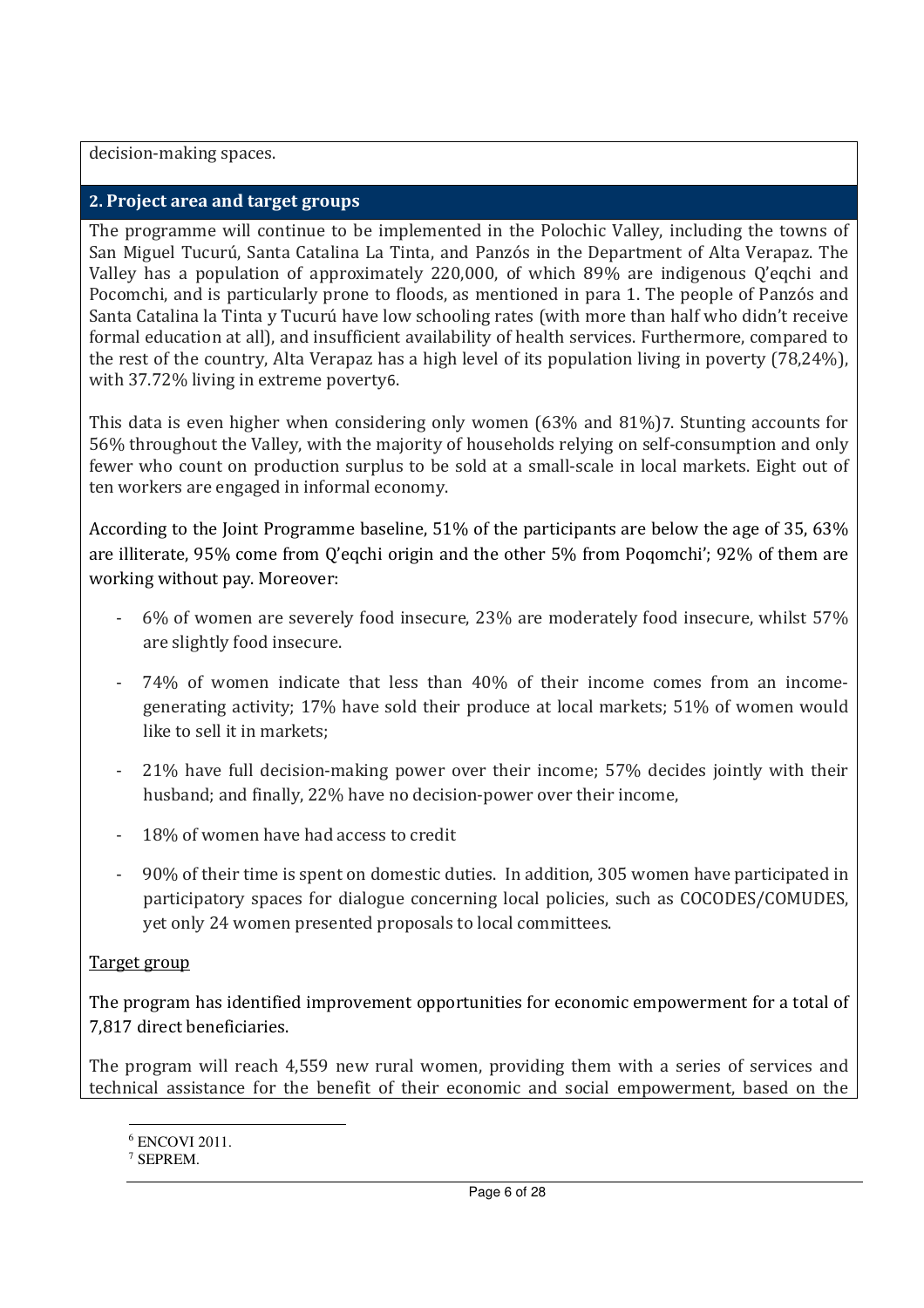decision-making spaces.

#### **2. Project area and target groups**

The programme will continue to be implemented in the Polochic Valley, including the towns of San Miguel Tucurú, Santa Catalina La Tinta, and Panzós in the Department of Alta Verapaz. The Valley has a population of approximately 220,000, of which 89% are indigenous Q'eqchi and Pocomchi, and is particularly prone to floods, as mentioned in para 1. The people of Panzós and Santa Catalina la Tinta y Tucurú have low schooling rates (with more than half who didn't receive formal education at all), and insufficient availability of health services. Furthermore, compared to the rest of the country, Alta Verapaz has a high level of its population living in poverty (78,24%), with 37.72% living in extreme poverty6.

This data is even higher when considering only women (63% and 81%)7. Stunting accounts for 56% throughout the Valley, with the majority of households relying on self-consumption and only fewer who count on production surplus to be sold at a small-scale in local markets. Eight out of ten workers are engaged in informal economy.

According to the Joint Programme baseline, 51% of the participants are below the age of 35, 63% are illiterate, 95% come from Q'eqchi origin and the other 5% from Poqomchi'; 92% of them are working without pay. Moreover:

- 6% of women are severely food insecure, 23% are moderately food insecure, whilst 57% are slightly food insecure.
- 74% of women indicate that less than 40% of their income comes from an incomegenerating activity; 17% have sold their produce at local markets; 51% of women would like to sell it in markets;
- 21% have full decision-making power over their income; 57% decides jointly with their husband; and finally, 22% have no decision-power over their income,
- 18% of women have had access to credit
- 90% of their time is spent on domestic duties. In addition, 305 women have participated in participatory spaces for dialogue concerning local policies, such as COCODES/COMUDES, yet only 24 women presented proposals to local committees.

### Target group

 $\overline{a}$ 

The program has identified improvement opportunities for economic empowerment for a total of 7,817 direct beneficiaries.

The program will reach 4,559 new rural women, providing them with a series of services and technical assistance for the benefit of their economic and social empowerment, based on the

<sup>6</sup> ENCOVI 2011.

<sup>7</sup> SEPREM.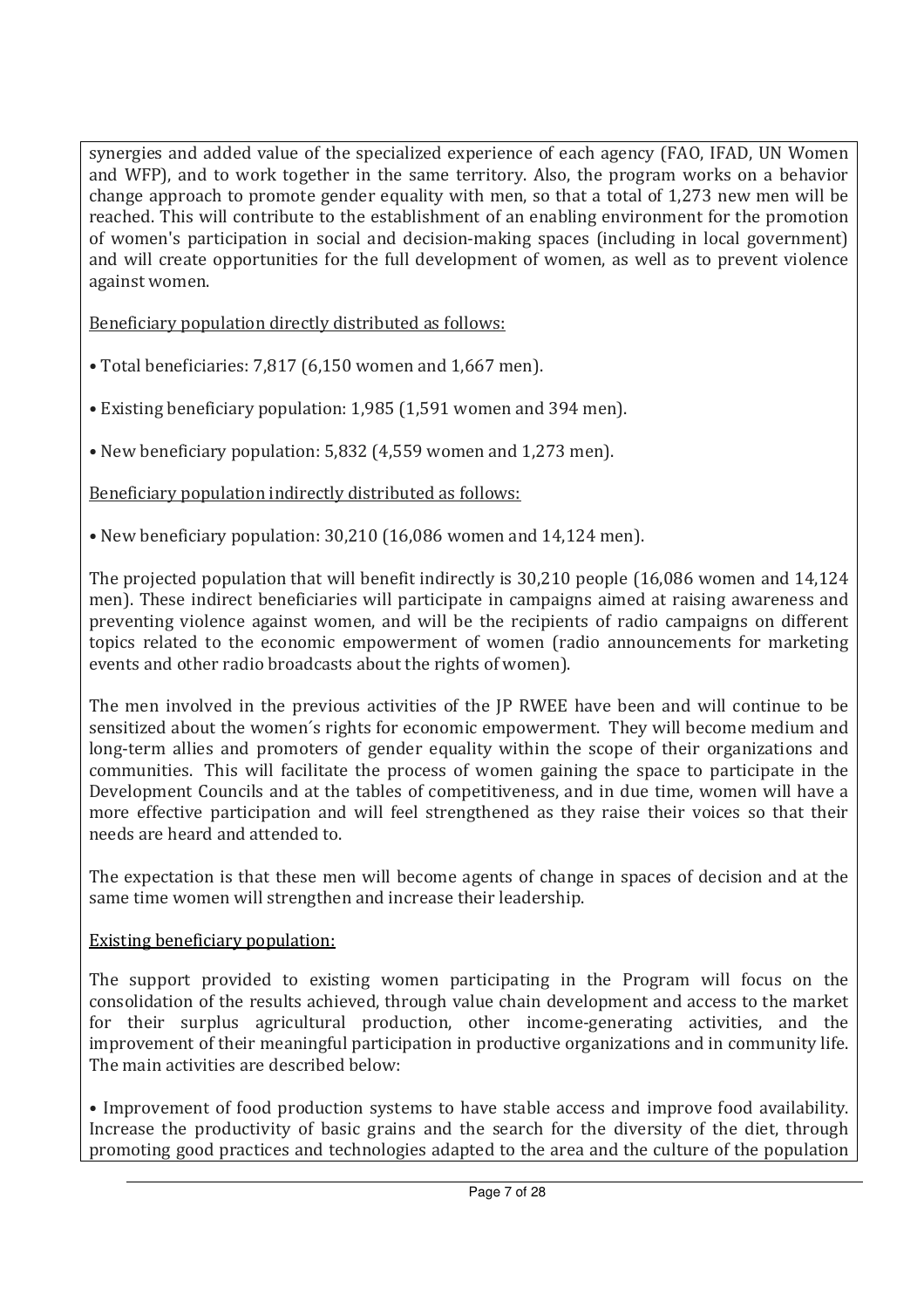synergies and added value of the specialized experience of each agency (FAO, IFAD, UN Women and WFP), and to work together in the same territory. Also, the program works on a behavior change approach to promote gender equality with men, so that a total of 1,273 new men will be reached. This will contribute to the establishment of an enabling environment for the promotion of women's participation in social and decision-making spaces (including in local government) and will create opportunities for the full development of women, as well as to prevent violence against women.

Beneficiary population directly distributed as follows:

- Total beneficiaries: 7,817 (6,150 women and 1,667 men).
- Existing beneficiary population: 1,985 (1,591 women and 394 men).
- New beneficiary population: 5,832 (4,559 women and 1,273 men).

Beneficiary population indirectly distributed as follows:

• New beneficiary population: 30,210 (16,086 women and 14,124 men).

The projected population that will benefit indirectly is 30,210 people (16,086 women and 14,124 men). These indirect beneficiaries will participate in campaigns aimed at raising awareness and preventing violence against women, and will be the recipients of radio campaigns on different topics related to the economic empowerment of women (radio announcements for marketing events and other radio broadcasts about the rights of women).

The men involved in the previous activities of the JP RWEE have been and will continue to be sensitized about the women´s rights for economic empowerment. They will become medium and long-term allies and promoters of gender equality within the scope of their organizations and communities. This will facilitate the process of women gaining the space to participate in the Development Councils and at the tables of competitiveness, and in due time, women will have a more effective participation and will feel strengthened as they raise their voices so that their needs are heard and attended to.

The expectation is that these men will become agents of change in spaces of decision and at the same time women will strengthen and increase their leadership.

### Existing beneficiary population:

The support provided to existing women participating in the Program will focus on the consolidation of the results achieved, through value chain development and access to the market for their surplus agricultural production, other income-generating activities, and the improvement of their meaningful participation in productive organizations and in community life. The main activities are described below:

• Improvement of food production systems to have stable access and improve food availability. Increase the productivity of basic grains and the search for the diversity of the diet, through promoting good practices and technologies adapted to the area and the culture of the population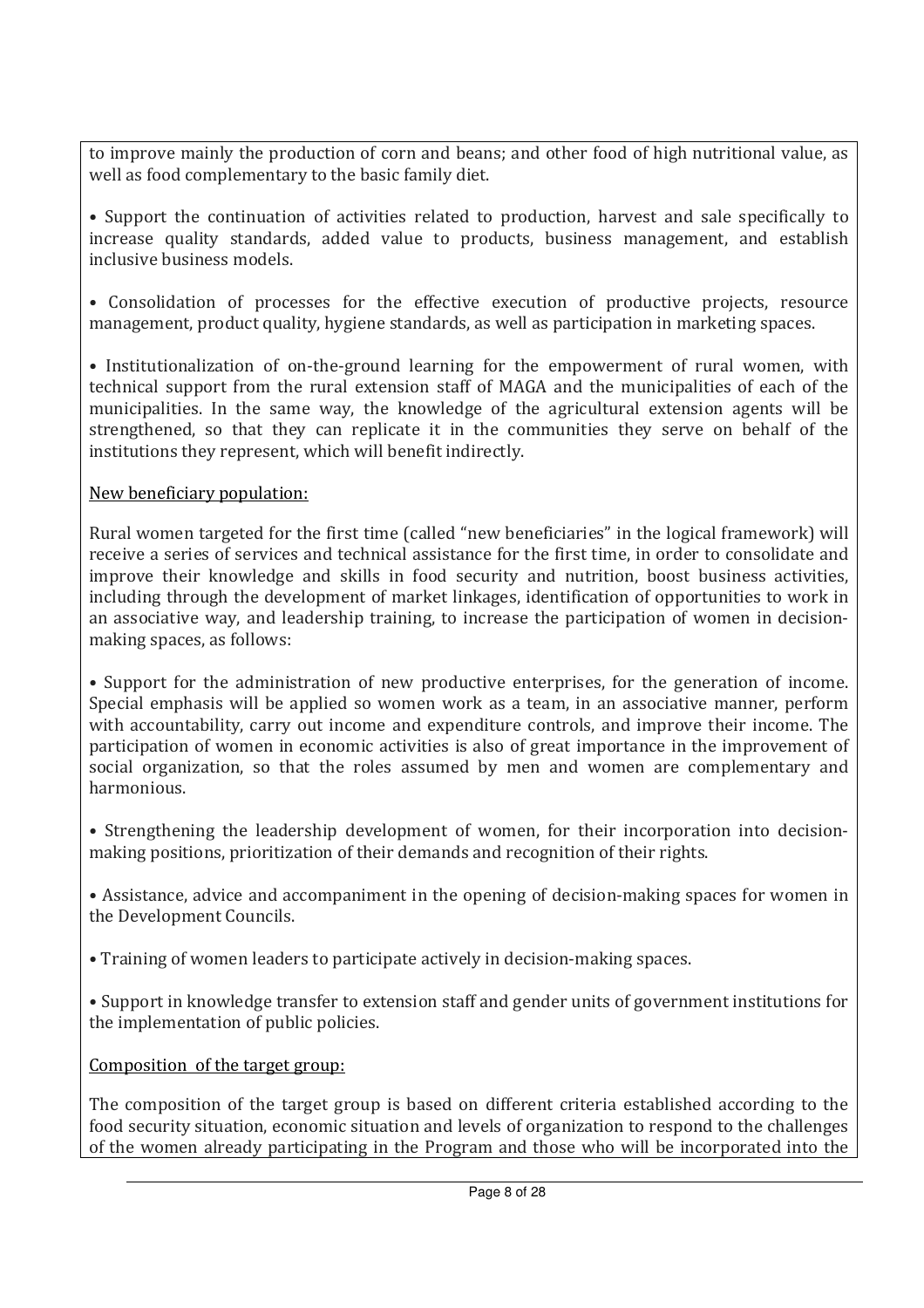to improve mainly the production of corn and beans; and other food of high nutritional value, as well as food complementary to the basic family diet.

• Support the continuation of activities related to production, harvest and sale specifically to increase quality standards, added value to products, business management, and establish inclusive business models.

• Consolidation of processes for the effective execution of productive projects, resource management, product quality, hygiene standards, as well as participation in marketing spaces.

• Institutionalization of on-the-ground learning for the empowerment of rural women, with technical support from the rural extension staff of MAGA and the municipalities of each of the municipalities. In the same way, the knowledge of the agricultural extension agents will be strengthened, so that they can replicate it in the communities they serve on behalf of the institutions they represent, which will benefit indirectly.

### New beneficiary population:

Rural women targeted for the first time (called "new beneficiaries" in the logical framework) will receive a series of services and technical assistance for the first time, in order to consolidate and improve their knowledge and skills in food security and nutrition, boost business activities, including through the development of market linkages, identification of opportunities to work in an associative way, and leadership training, to increase the participation of women in decisionmaking spaces, as follows:

• Support for the administration of new productive enterprises, for the generation of income. Special emphasis will be applied so women work as a team, in an associative manner, perform with accountability, carry out income and expenditure controls, and improve their income. The participation of women in economic activities is also of great importance in the improvement of social organization, so that the roles assumed by men and women are complementary and harmonious.

• Strengthening the leadership development of women, for their incorporation into decisionmaking positions, prioritization of their demands and recognition of their rights.

• Assistance, advice and accompaniment in the opening of decision-making spaces for women in the Development Councils.

• Training of women leaders to participate actively in decision-making spaces.

• Support in knowledge transfer to extension staff and gender units of government institutions for the implementation of public policies.

### Composition of the target group:

The composition of the target group is based on different criteria established according to the food security situation, economic situation and levels of organization to respond to the challenges of the women already participating in the Program and those who will be incorporated into the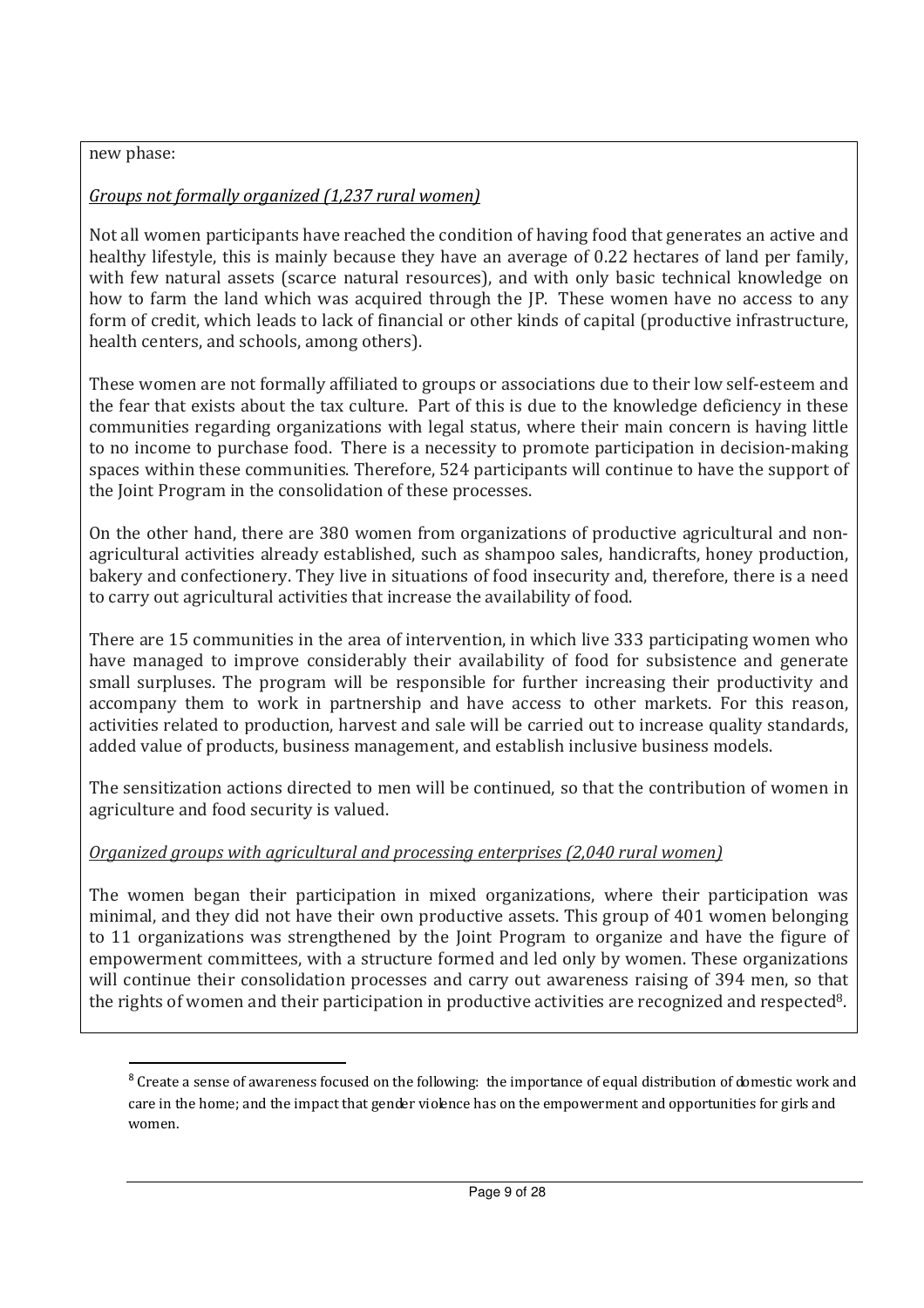### new phase:

l,

## *Groups not formally organized (1,237 rural women)*

Not all women participants have reached the condition of having food that generates an active and healthy lifestyle, this is mainly because they have an average of 0.22 hectares of land per family, with few natural assets (scarce natural resources), and with only basic technical knowledge on how to farm the land which was acquired through the JP. These women have no access to any form of credit, which leads to lack of financial or other kinds of capital (productive infrastructure, health centers, and schools, among others).

These women are not formally affiliated to groups or associations due to their low self-esteem and the fear that exists about the tax culture. Part of this is due to the knowledge deficiency in these communities regarding organizations with legal status, where their main concern is having little to no income to purchase food. There is a necessity to promote participation in decision-making spaces within these communities. Therefore, 524 participants will continue to have the support of the Joint Program in the consolidation of these processes.

On the other hand, there are 380 women from organizations of productive agricultural and nonagricultural activities already established, such as shampoo sales, handicrafts, honey production, bakery and confectionery. They live in situations of food insecurity and, therefore, there is a need to carry out agricultural activities that increase the availability of food.

There are 15 communities in the area of intervention, in which live 333 participating women who have managed to improve considerably their availability of food for subsistence and generate small surpluses. The program will be responsible for further increasing their productivity and accompany them to work in partnership and have access to other markets. For this reason, activities related to production, harvest and sale will be carried out to increase quality standards, added value of products, business management, and establish inclusive business models.

The sensitization actions directed to men will be continued, so that the contribution of women in agriculture and food security is valued.

## *Organized groups with agricultural and processing enterprises (2,040 rural women)*

The women began their participation in mixed organizations, where their participation was minimal, and they did not have their own productive assets. This group of 401 women belonging to 11 organizations was strengthened by the Joint Program to organize and have the figure of empowerment committees, with a structure formed and led only by women. These organizations will continue their consolidation processes and carry out awareness raising of 394 men, so that the rights of women and their participation in productive activities are recognized and respected8.

<sup>&</sup>lt;sup>8</sup> Create a sense of awareness focused on the following: the importance of equal distribution of domestic work and care in the home; and the impact that gender violence has on the empowerment and opportunities for girls and women.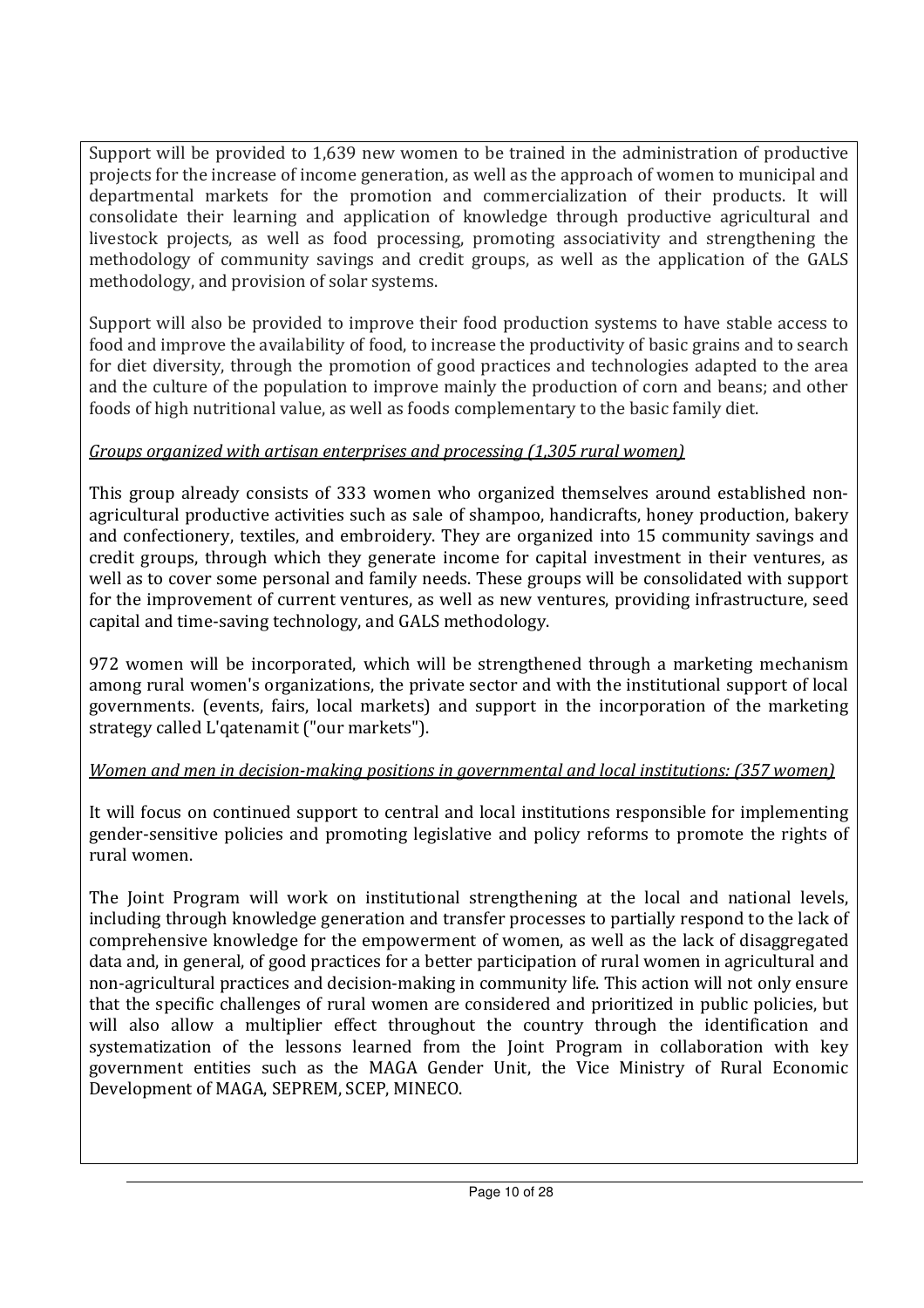Support will be provided to 1,639 new women to be trained in the administration of productive projects for the increase of income generation, as well as the approach of women to municipal and departmental markets for the promotion and commercialization of their products. It will consolidate their learning and application of knowledge through productive agricultural and livestock projects, as well as food processing, promoting associativity and strengthening the methodology of community savings and credit groups, as well as the application of the GALS methodology, and provision of solar systems.

Support will also be provided to improve their food production systems to have stable access to food and improve the availability of food, to increase the productivity of basic grains and to search for diet diversity, through the promotion of good practices and technologies adapted to the area and the culture of the population to improve mainly the production of corn and beans; and other foods of high nutritional value, as well as foods complementary to the basic family diet.

## *Groups organized with artisan enterprises and processing (1,305 rural women)*

This group already consists of 333 women who organized themselves around established nonagricultural productive activities such as sale of shampoo, handicrafts, honey production, bakery and confectionery, textiles, and embroidery. They are organized into 15 community savings and credit groups, through which they generate income for capital investment in their ventures, as well as to cover some personal and family needs. These groups will be consolidated with support for the improvement of current ventures, as well as new ventures, providing infrastructure, seed capital and time-saving technology, and GALS methodology.

972 women will be incorporated, which will be strengthened through a marketing mechanism among rural women's organizations, the private sector and with the institutional support of local governments. (events, fairs, local markets) and support in the incorporation of the marketing strategy called L'qatenamit ("our markets").

## *Women and men in decision-making positions in governmental and local institutions: (357 women)*

It will focus on continued support to central and local institutions responsible for implementing gender-sensitive policies and promoting legislative and policy reforms to promote the rights of rural women.

The Joint Program will work on institutional strengthening at the local and national levels, including through knowledge generation and transfer processes to partially respond to the lack of comprehensive knowledge for the empowerment of women, as well as the lack of disaggregated data and, in general, of good practices for a better participation of rural women in agricultural and non-agricultural practices and decision-making in community life. This action will not only ensure that the specific challenges of rural women are considered and prioritized in public policies, but will also allow a multiplier effect throughout the country through the identification and systematization of the lessons learned from the Joint Program in collaboration with key government entities such as the MAGA Gender Unit, the Vice Ministry of Rural Economic Development of MAGA, SEPREM, SCEP, MINECO.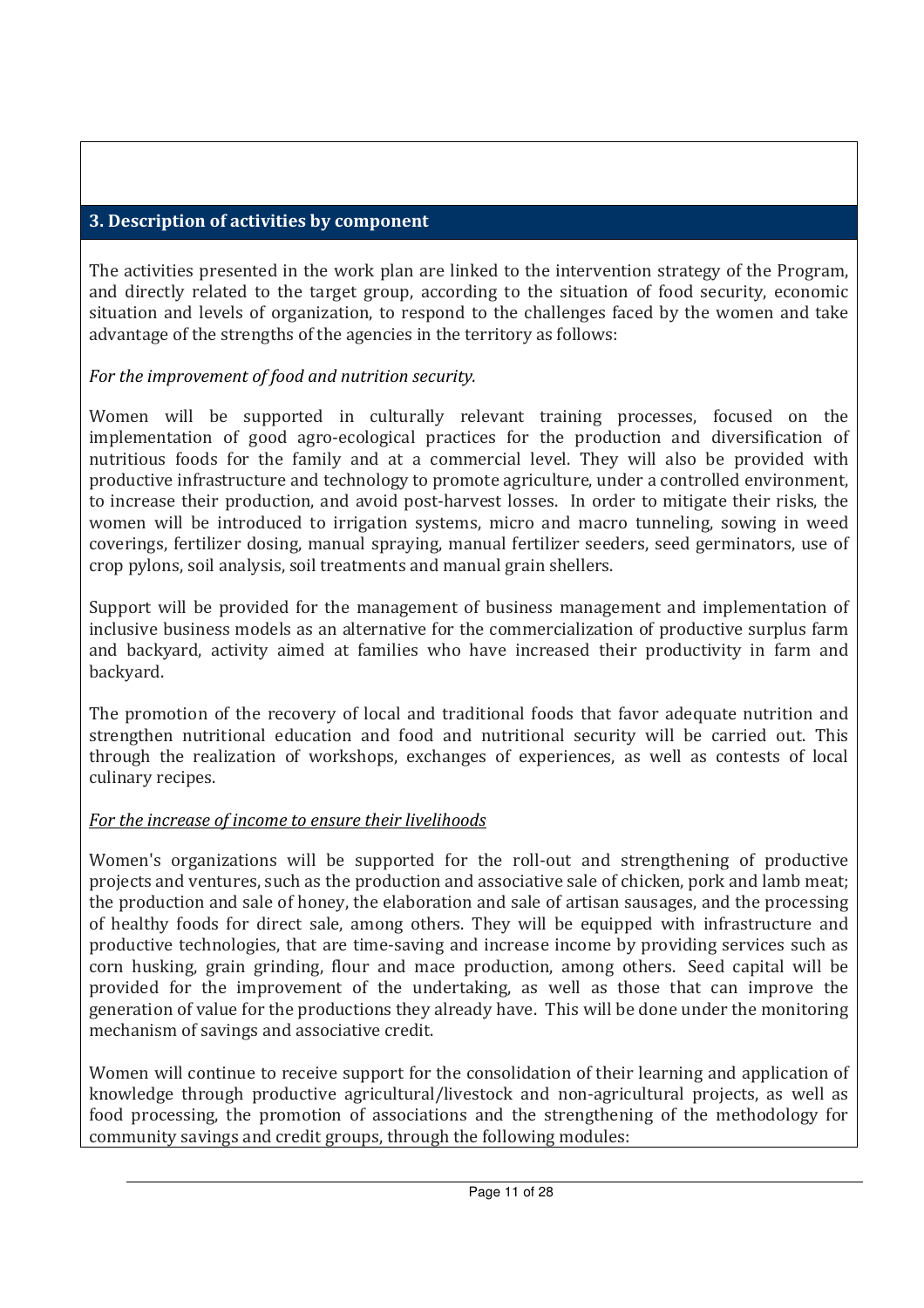## **3. Description of activities by component**

The activities presented in the work plan are linked to the intervention strategy of the Program, and directly related to the target group, according to the situation of food security, economic situation and levels of organization, to respond to the challenges faced by the women and take advantage of the strengths of the agencies in the territory as follows:

## *For the improvement of food and nutrition security.*

Women will be supported in culturally relevant training processes, focused on the implementation of good agro-ecological practices for the production and diversification of nutritious foods for the family and at a commercial level. They will also be provided with productive infrastructure and technology to promote agriculture, under a controlled environment, to increase their production, and avoid post-harvest losses. In order to mitigate their risks, the women will be introduced to irrigation systems, micro and macro tunneling, sowing in weed coverings, fertilizer dosing, manual spraying, manual fertilizer seeders, seed germinators, use of crop pylons, soil analysis, soil treatments and manual grain shellers.

Support will be provided for the management of business management and implementation of inclusive business models as an alternative for the commercialization of productive surplus farm and backyard, activity aimed at families who have increased their productivity in farm and backyard.

The promotion of the recovery of local and traditional foods that favor adequate nutrition and strengthen nutritional education and food and nutritional security will be carried out. This through the realization of workshops, exchanges of experiences, as well as contests of local culinary recipes.

## *For the increase of income to ensure their livelihoods*

Women's organizations will be supported for the roll-out and strengthening of productive projects and ventures, such as the production and associative sale of chicken, pork and lamb meat; the production and sale of honey, the elaboration and sale of artisan sausages, and the processing of healthy foods for direct sale, among others. They will be equipped with infrastructure and productive technologies, that are time-saving and increase income by providing services such as corn husking, grain grinding, flour and mace production, among others. Seed capital will be provided for the improvement of the undertaking, as well as those that can improve the generation of value for the productions they already have. This will be done under the monitoring mechanism of savings and associative credit.

Women will continue to receive support for the consolidation of their learning and application of knowledge through productive agricultural/livestock and non-agricultural projects, as well as food processing, the promotion of associations and the strengthening of the methodology for community savings and credit groups, through the following modules: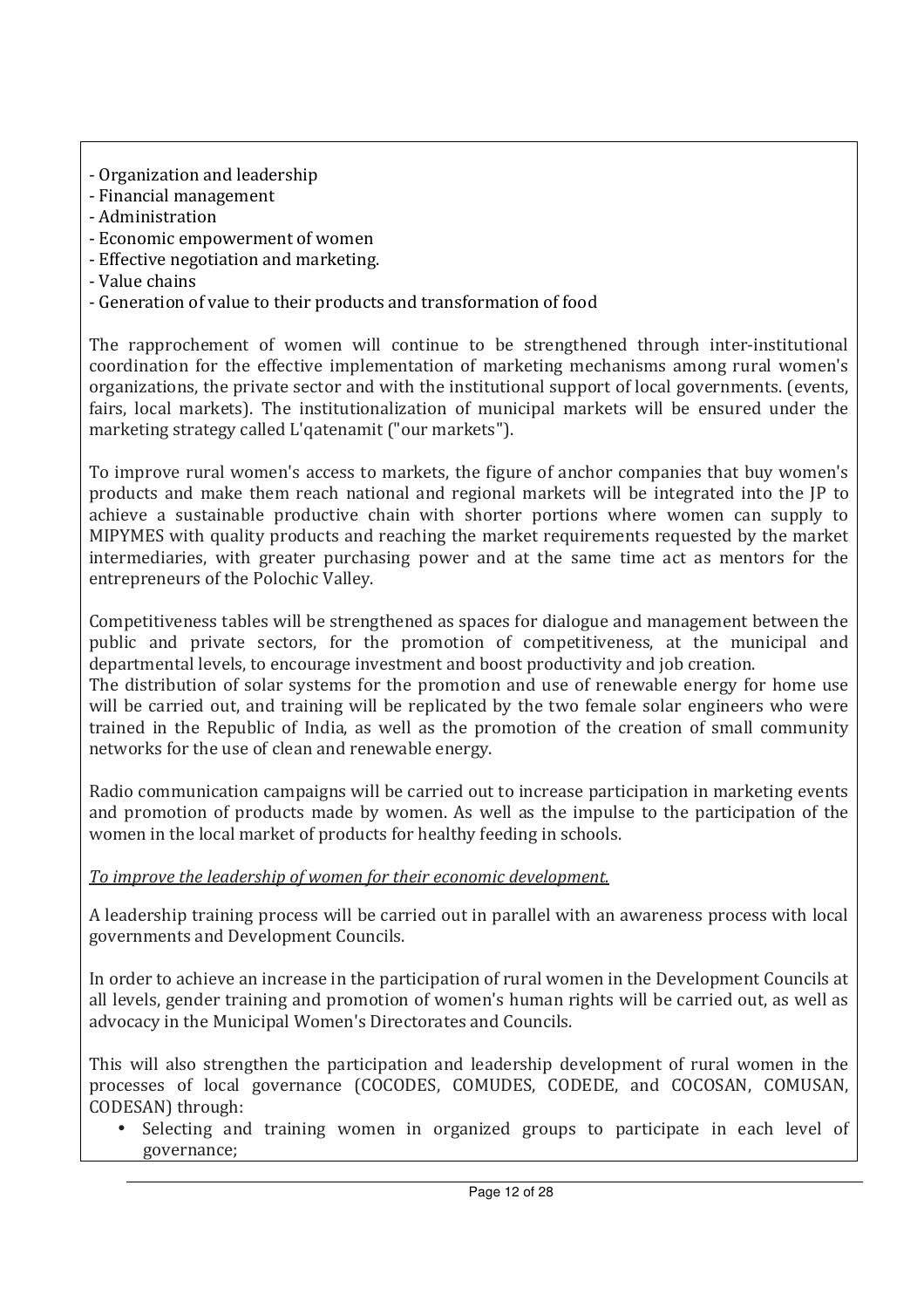- Organization and leadership
- Financial management
- Administration
- Economic empowerment of women
- Effective negotiation and marketing.
- Value chains
- Generation of value to their products and transformation of food

The rapprochement of women will continue to be strengthened through inter-institutional coordination for the effective implementation of marketing mechanisms among rural women's organizations, the private sector and with the institutional support of local governments. (events, fairs, local markets). The institutionalization of municipal markets will be ensured under the marketing strategy called L'qatenamit ("our markets").

To improve rural women's access to markets, the figure of anchor companies that buy women's products and make them reach national and regional markets will be integrated into the JP to achieve a sustainable productive chain with shorter portions where women can supply to MIPYMES with quality products and reaching the market requirements requested by the market intermediaries, with greater purchasing power and at the same time act as mentors for the entrepreneurs of the Polochic Valley.

Competitiveness tables will be strengthened as spaces for dialogue and management between the public and private sectors, for the promotion of competitiveness, at the municipal and departmental levels, to encourage investment and boost productivity and job creation.

The distribution of solar systems for the promotion and use of renewable energy for home use will be carried out, and training will be replicated by the two female solar engineers who were trained in the Republic of India, as well as the promotion of the creation of small community networks for the use of clean and renewable energy.

Radio communication campaigns will be carried out to increase participation in marketing events and promotion of products made by women. As well as the impulse to the participation of the women in the local market of products for healthy feeding in schools.

## *To improve the leadership of women for their economic development.*

A leadership training process will be carried out in parallel with an awareness process with local governments and Development Councils.

In order to achieve an increase in the participation of rural women in the Development Councils at all levels, gender training and promotion of women's human rights will be carried out, as well as advocacy in the Municipal Women's Directorates and Councils.

This will also strengthen the participation and leadership development of rural women in the processes of local governance (COCODES, COMUDES, CODEDE, and COCOSAN, COMUSAN, CODESAN) through:

• Selecting and training women in organized groups to participate in each level of governance;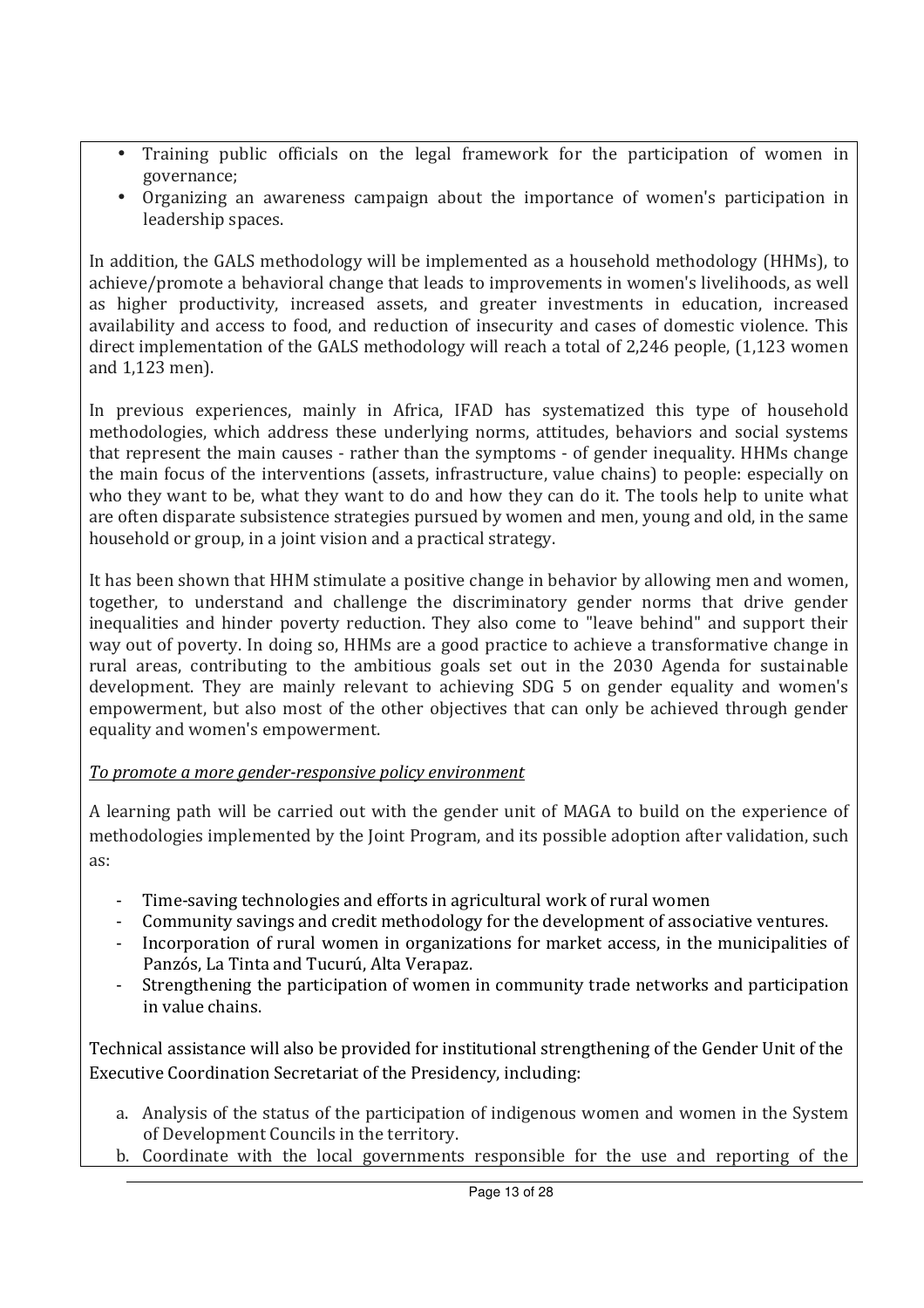- Training public officials on the legal framework for the participation of women in governance;
- Organizing an awareness campaign about the importance of women's participation in leadership spaces.

In addition, the GALS methodology will be implemented as a household methodology (HHMs), to achieve/promote a behavioral change that leads to improvements in women's livelihoods, as well as higher productivity, increased assets, and greater investments in education, increased availability and access to food, and reduction of insecurity and cases of domestic violence. This direct implementation of the GALS methodology will reach a total of 2,246 people, (1,123 women and 1,123 men).

In previous experiences, mainly in Africa, IFAD has systematized this type of household methodologies, which address these underlying norms, attitudes, behaviors and social systems that represent the main causes - rather than the symptoms - of gender inequality. HHMs change the main focus of the interventions (assets, infrastructure, value chains) to people: especially on who they want to be, what they want to do and how they can do it. The tools help to unite what are often disparate subsistence strategies pursued by women and men, young and old, in the same household or group, in a joint vision and a practical strategy.

It has been shown that HHM stimulate a positive change in behavior by allowing men and women, together, to understand and challenge the discriminatory gender norms that drive gender inequalities and hinder poverty reduction. They also come to "leave behind" and support their way out of poverty. In doing so, HHMs are a good practice to achieve a transformative change in rural areas, contributing to the ambitious goals set out in the 2030 Agenda for sustainable development. They are mainly relevant to achieving SDG 5 on gender equality and women's empowerment, but also most of the other objectives that can only be achieved through gender equality and women's empowerment.

### *To promote a more gender-responsive policy environment*

A learning path will be carried out with the gender unit of MAGA to build on the experience of methodologies implemented by the Joint Program, and its possible adoption after validation, such as:

- Time-saving technologies and efforts in agricultural work of rural women
- Community savings and credit methodology for the development of associative ventures.
- Incorporation of rural women in organizations for market access, in the municipalities of Panzós, La Tinta and Tucurú, Alta Verapaz.
- Strengthening the participation of women in community trade networks and participation in value chains.

Technical assistance will also be provided for institutional strengthening of the Gender Unit of the Executive Coordination Secretariat of the Presidency, including:

- a. Analysis of the status of the participation of indigenous women and women in the System of Development Councils in the territory.
- b. Coordinate with the local governments responsible for the use and reporting of the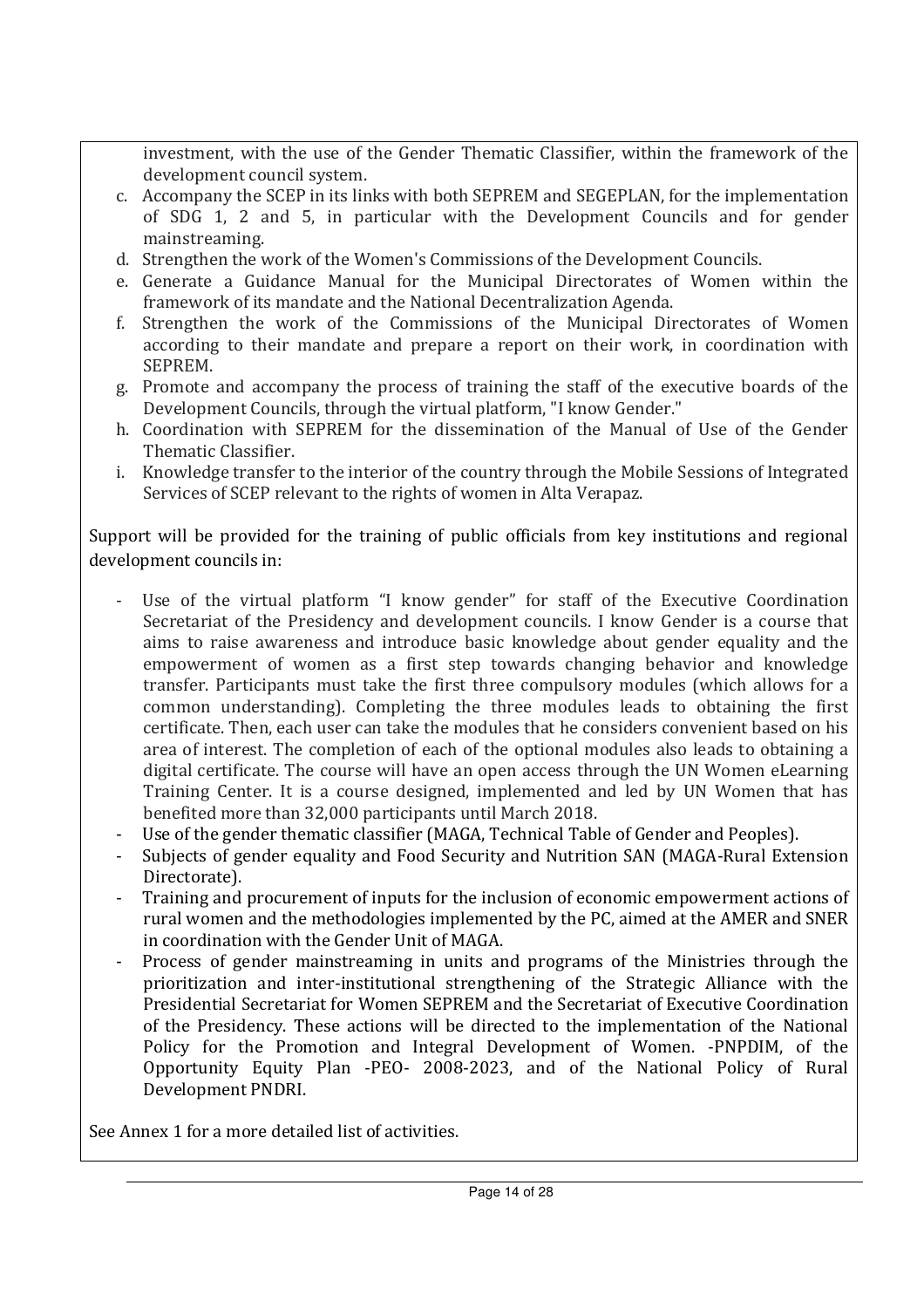investment, with the use of the Gender Thematic Classifier, within the framework of the development council system.

- c. Accompany the SCEP in its links with both SEPREM and SEGEPLAN, for the implementation of SDG 1, 2 and 5, in particular with the Development Councils and for gender mainstreaming.
- d. Strengthen the work of the Women's Commissions of the Development Councils.
- e. Generate a Guidance Manual for the Municipal Directorates of Women within the framework of its mandate and the National Decentralization Agenda.
- f. Strengthen the work of the Commissions of the Municipal Directorates of Women according to their mandate and prepare a report on their work, in coordination with SEPREM.
- g. Promote and accompany the process of training the staff of the executive boards of the Development Councils, through the virtual platform, "I know Gender."
- h. Coordination with SEPREM for the dissemination of the Manual of Use of the Gender Thematic Classifier.
- i. Knowledge transfer to the interior of the country through the Mobile Sessions of Integrated Services of SCEP relevant to the rights of women in Alta Verapaz.

Support will be provided for the training of public officials from key institutions and regional development councils in:

- Use of the virtual platform "I know gender" for staff of the Executive Coordination Secretariat of the Presidency and development councils. I know Gender is a course that aims to raise awareness and introduce basic knowledge about gender equality and the empowerment of women as a first step towards changing behavior and knowledge transfer. Participants must take the first three compulsory modules (which allows for a common understanding). Completing the three modules leads to obtaining the first certificate. Then, each user can take the modules that he considers convenient based on his area of interest. The completion of each of the optional modules also leads to obtaining a digital certificate. The course will have an open access through the UN Women eLearning Training Center. It is a course designed, implemented and led by UN Women that has benefited more than 32,000 participants until March 2018.
- Use of the gender thematic classifier (MAGA, Technical Table of Gender and Peoples).
- Subjects of gender equality and Food Security and Nutrition SAN (MAGA-Rural Extension Directorate).
- Training and procurement of inputs for the inclusion of economic empowerment actions of rural women and the methodologies implemented by the PC, aimed at the AMER and SNER in coordination with the Gender Unit of MAGA.
- Process of gender mainstreaming in units and programs of the Ministries through the prioritization and inter-institutional strengthening of the Strategic Alliance with the Presidential Secretariat for Women SEPREM and the Secretariat of Executive Coordination of the Presidency. These actions will be directed to the implementation of the National Policy for the Promotion and Integral Development of Women. -PNPDIM, of the Opportunity Equity Plan -PEO- 2008-2023, and of the National Policy of Rural Development PNDRI.

See Annex 1 for a more detailed list of activities.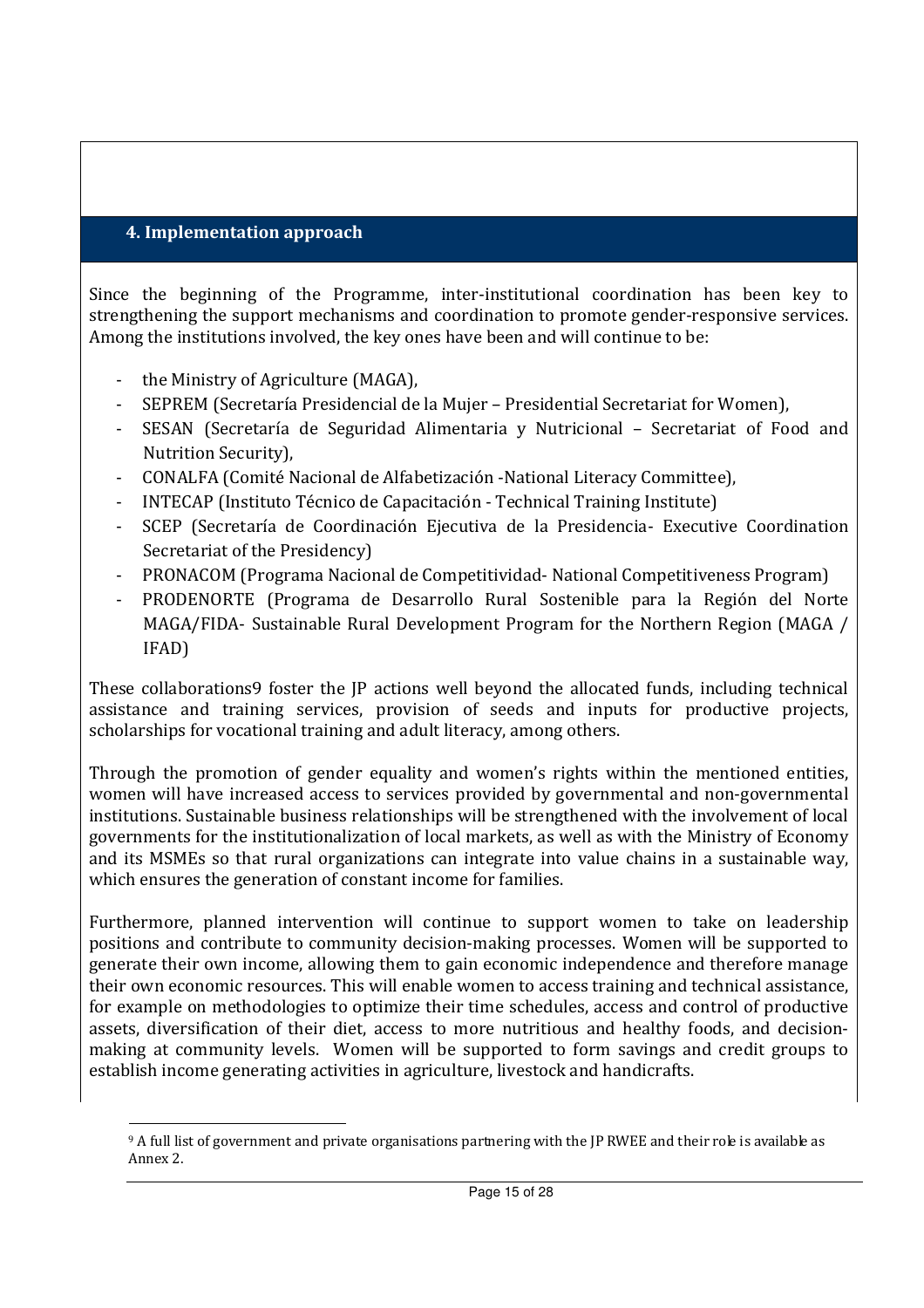#### **4. Implementation approach**

Since the beginning of the Programme, inter-institutional coordination has been key to strengthening the support mechanisms and coordination to promote gender-responsive services. Among the institutions involved, the key ones have been and will continue to be:

- the Ministry of Agriculture (MAGA),

 $\overline{a}$ 

- SEPREM (Secretaría Presidencial de la Mujer Presidential Secretariat for Women),
- SESAN (Secretaría de Seguridad Alimentaria y Nutricional Secretariat of Food and Nutrition Security),
- CONALFA (Comité Nacional de Alfabetización -National Literacy Committee),
- INTECAP (Instituto Técnico de Capacitación Technical Training Institute)
- SCEP (Secretaría de Coordinación Ejecutiva de la Presidencia- Executive Coordination Secretariat of the Presidency)
- PRONACOM (Programa Nacional de Competitividad- National Competitiveness Program)
- PRODENORTE (Programa de Desarrollo Rural Sostenible para la Región del Norte MAGA/FIDA- Sustainable Rural Development Program for the Northern Region (MAGA / IFAD)

These collaborations9 foster the JP actions well beyond the allocated funds, including technical assistance and training services, provision of seeds and inputs for productive projects, scholarships for vocational training and adult literacy, among others.

Through the promotion of gender equality and women's rights within the mentioned entities, women will have increased access to services provided by governmental and non-governmental institutions. Sustainable business relationships will be strengthened with the involvement of local governments for the institutionalization of local markets, as well as with the Ministry of Economy and its MSMEs so that rural organizations can integrate into value chains in a sustainable way, which ensures the generation of constant income for families.

Furthermore, planned intervention will continue to support women to take on leadership positions and contribute to community decision-making processes. Women will be supported to generate their own income, allowing them to gain economic independence and therefore manage their own economic resources. This will enable women to access training and technical assistance, for example on methodologies to optimize their time schedules, access and control of productive assets, diversification of their diet, access to more nutritious and healthy foods, and decisionmaking at community levels. Women will be supported to form savings and credit groups to establish income generating activities in agriculture, livestock and handicrafts.

<sup>9</sup> A full list of government and private organisations partnering with the JP RWEE and their role is available as Annex 2.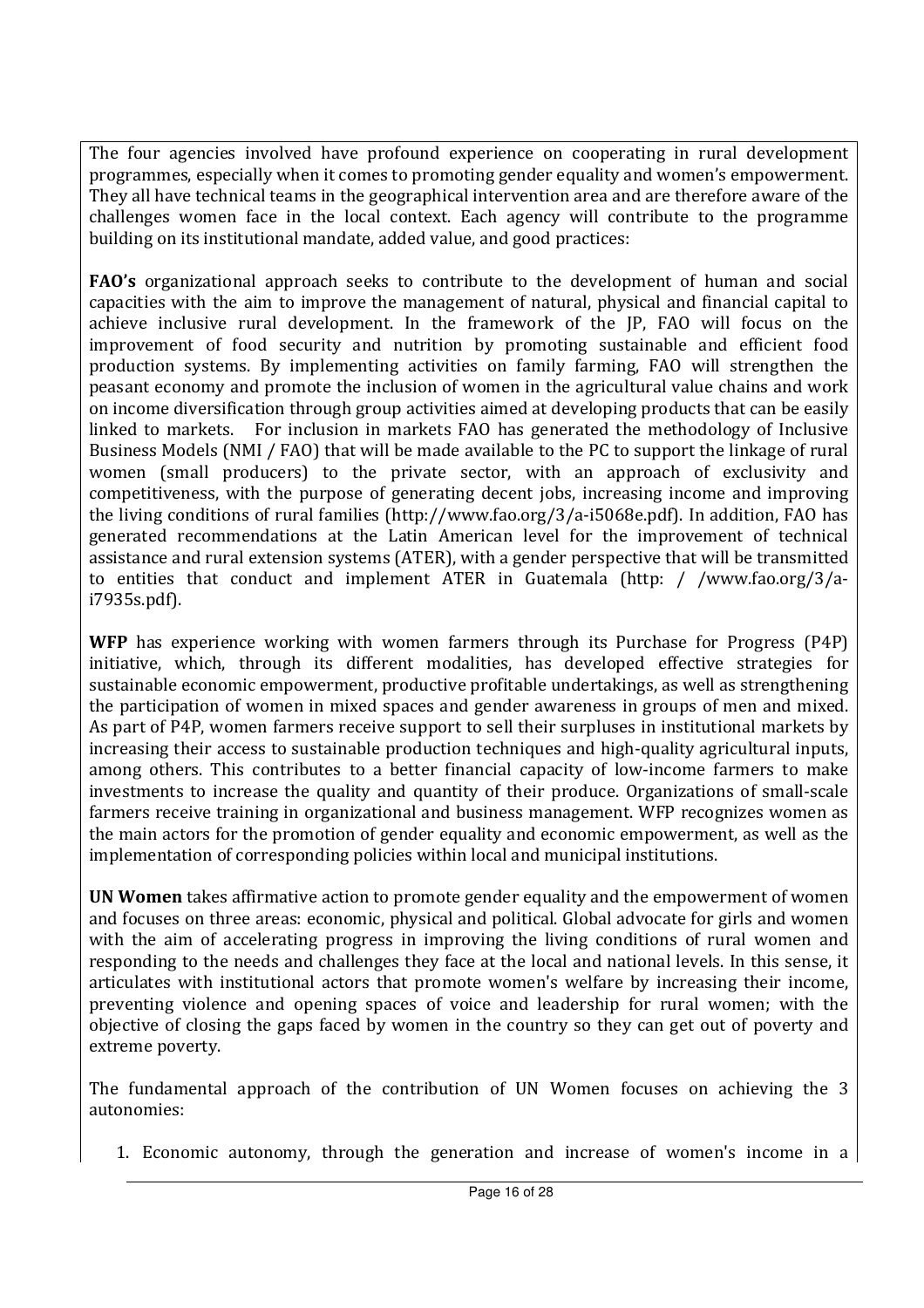The four agencies involved have profound experience on cooperating in rural development programmes, especially when it comes to promoting gender equality and women's empowerment. They all have technical teams in the geographical intervention area and are therefore aware of the challenges women face in the local context. Each agency will contribute to the programme building on its institutional mandate, added value, and good practices:

**FAO's** organizational approach seeks to contribute to the development of human and social capacities with the aim to improve the management of natural, physical and financial capital to achieve inclusive rural development. In the framework of the JP, FAO will focus on the improvement of food security and nutrition by promoting sustainable and efficient food production systems. By implementing activities on family farming, FAO will strengthen the peasant economy and promote the inclusion of women in the agricultural value chains and work on income diversification through group activities aimed at developing products that can be easily linked to markets. For inclusion in markets FAO has generated the methodology of Inclusive Business Models (NMI / FAO) that will be made available to the PC to support the linkage of rural women (small producers) to the private sector, with an approach of exclusivity and competitiveness, with the purpose of generating decent jobs, increasing income and improving the living conditions of rural families (http://www.fao.org/3/a-i5068e.pdf). In addition, FAO has generated recommendations at the Latin American level for the improvement of technical assistance and rural extension systems (ATER), with a gender perspective that will be transmitted to entities that conduct and implement ATER in Guatemala (http: / /www.fao.org/3/ai7935s.pdf).

**WFP** has experience working with women farmers through its Purchase for Progress (P4P) initiative, which, through its different modalities, has developed effective strategies for sustainable economic empowerment, productive profitable undertakings, as well as strengthening the participation of women in mixed spaces and gender awareness in groups of men and mixed. As part of P4P, women farmers receive support to sell their surpluses in institutional markets by increasing their access to sustainable production techniques and high-quality agricultural inputs, among others. This contributes to a better financial capacity of low-income farmers to make investments to increase the quality and quantity of their produce. Organizations of small-scale farmers receive training in organizational and business management. WFP recognizes women as the main actors for the promotion of gender equality and economic empowerment, as well as the implementation of corresponding policies within local and municipal institutions.

**UN Women** takes affirmative action to promote gender equality and the empowerment of women and focuses on three areas: economic, physical and political. Global advocate for girls and women with the aim of accelerating progress in improving the living conditions of rural women and responding to the needs and challenges they face at the local and national levels. In this sense, it articulates with institutional actors that promote women's welfare by increasing their income, preventing violence and opening spaces of voice and leadership for rural women; with the objective of closing the gaps faced by women in the country so they can get out of poverty and extreme poverty.

The fundamental approach of the contribution of UN Women focuses on achieving the 3 autonomies:

1. Economic autonomy, through the generation and increase of women's income in a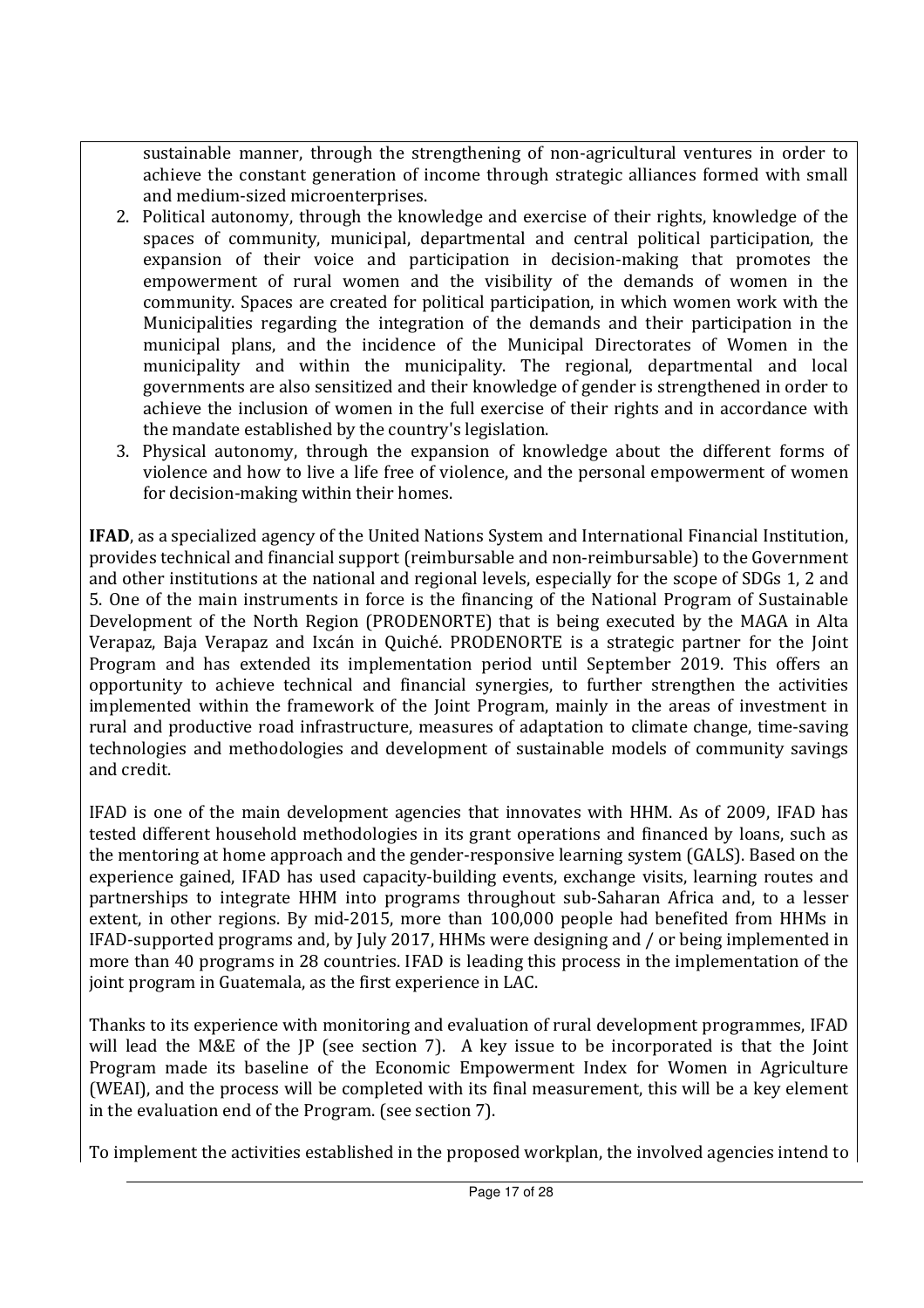sustainable manner, through the strengthening of non-agricultural ventures in order to achieve the constant generation of income through strategic alliances formed with small and medium-sized microenterprises.

- 2. Political autonomy, through the knowledge and exercise of their rights, knowledge of the spaces of community, municipal, departmental and central political participation, the expansion of their voice and participation in decision-making that promotes the empowerment of rural women and the visibility of the demands of women in the community. Spaces are created for political participation, in which women work with the Municipalities regarding the integration of the demands and their participation in the municipal plans, and the incidence of the Municipal Directorates of Women in the municipality and within the municipality. The regional, departmental and local governments are also sensitized and their knowledge of gender is strengthened in order to achieve the inclusion of women in the full exercise of their rights and in accordance with the mandate established by the country's legislation.
- 3. Physical autonomy, through the expansion of knowledge about the different forms of violence and how to live a life free of violence, and the personal empowerment of women for decision-making within their homes.

**IFAD**, as a specialized agency of the United Nations System and International Financial Institution, provides technical and financial support (reimbursable and non-reimbursable) to the Government and other institutions at the national and regional levels, especially for the scope of SDGs 1, 2 and 5. One of the main instruments in force is the financing of the National Program of Sustainable Development of the North Region (PRODENORTE) that is being executed by the MAGA in Alta Verapaz, Baja Verapaz and Ixcán in Quiché. PRODENORTE is a strategic partner for the Joint Program and has extended its implementation period until September 2019. This offers an opportunity to achieve technical and financial synergies, to further strengthen the activities implemented within the framework of the Joint Program, mainly in the areas of investment in rural and productive road infrastructure, measures of adaptation to climate change, time-saving technologies and methodologies and development of sustainable models of community savings and credit.

IFAD is one of the main development agencies that innovates with HHM. As of 2009, IFAD has tested different household methodologies in its grant operations and financed by loans, such as the mentoring at home approach and the gender-responsive learning system (GALS). Based on the experience gained, IFAD has used capacity-building events, exchange visits, learning routes and partnerships to integrate HHM into programs throughout sub-Saharan Africa and, to a lesser extent, in other regions. By mid-2015, more than 100,000 people had benefited from HHMs in IFAD-supported programs and, by July 2017, HHMs were designing and / or being implemented in more than 40 programs in 28 countries. IFAD is leading this process in the implementation of the joint program in Guatemala, as the first experience in LAC.

Thanks to its experience with monitoring and evaluation of rural development programmes, IFAD will lead the M&E of the JP (see section 7). A key issue to be incorporated is that the Joint Program made its baseline of the Economic Empowerment Index for Women in Agriculture (WEAI), and the process will be completed with its final measurement, this will be a key element in the evaluation end of the Program. (see section 7).

To implement the activities established in the proposed workplan, the involved agencies intend to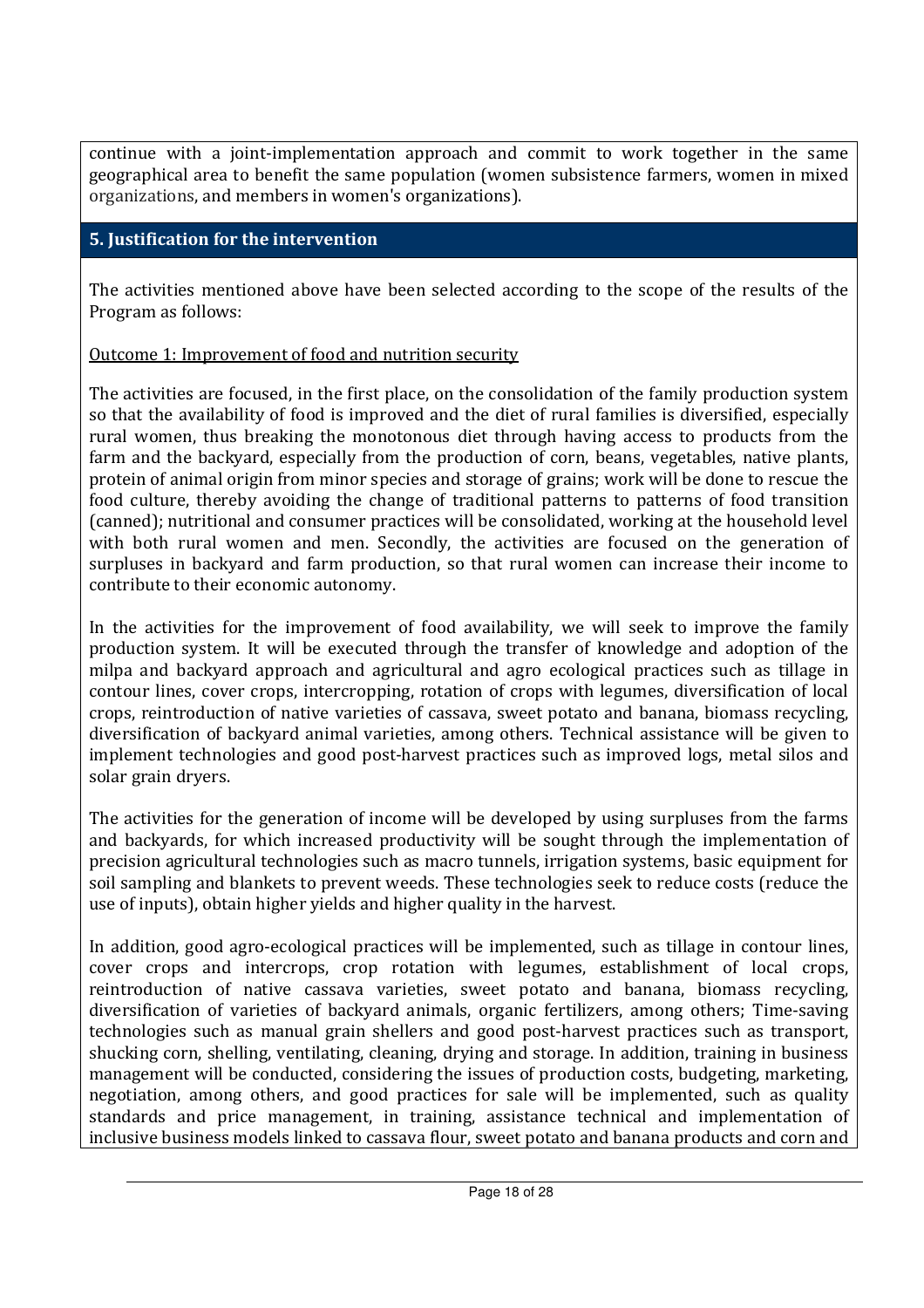continue with a joint-implementation approach and commit to work together in the same geographical area to benefit the same population (women subsistence farmers, women in mixed organizations, and members in women's organizations).

### **5. Justification for the intervention**

The activities mentioned above have been selected according to the scope of the results of the Program as follows:

### Outcome 1: Improvement of food and nutrition security

The activities are focused, in the first place, on the consolidation of the family production system so that the availability of food is improved and the diet of rural families is diversified, especially rural women, thus breaking the monotonous diet through having access to products from the farm and the backyard, especially from the production of corn, beans, vegetables, native plants, protein of animal origin from minor species and storage of grains; work will be done to rescue the food culture, thereby avoiding the change of traditional patterns to patterns of food transition (canned); nutritional and consumer practices will be consolidated, working at the household level with both rural women and men. Secondly, the activities are focused on the generation of surpluses in backyard and farm production, so that rural women can increase their income to contribute to their economic autonomy.

In the activities for the improvement of food availability, we will seek to improve the family production system. It will be executed through the transfer of knowledge and adoption of the milpa and backyard approach and agricultural and agro ecological practices such as tillage in contour lines, cover crops, intercropping, rotation of crops with legumes, diversification of local crops, reintroduction of native varieties of cassava, sweet potato and banana, biomass recycling, diversification of backyard animal varieties, among others. Technical assistance will be given to implement technologies and good post-harvest practices such as improved logs, metal silos and solar grain dryers.

The activities for the generation of income will be developed by using surpluses from the farms and backyards, for which increased productivity will be sought through the implementation of precision agricultural technologies such as macro tunnels, irrigation systems, basic equipment for soil sampling and blankets to prevent weeds. These technologies seek to reduce costs (reduce the use of inputs), obtain higher yields and higher quality in the harvest.

In addition, good agro-ecological practices will be implemented, such as tillage in contour lines, cover crops and intercrops, crop rotation with legumes, establishment of local crops, reintroduction of native cassava varieties, sweet potato and banana, biomass recycling, diversification of varieties of backyard animals, organic fertilizers, among others; Time-saving technologies such as manual grain shellers and good post-harvest practices such as transport, shucking corn, shelling, ventilating, cleaning, drying and storage. In addition, training in business management will be conducted, considering the issues of production costs, budgeting, marketing, negotiation, among others, and good practices for sale will be implemented, such as quality standards and price management, in training, assistance technical and implementation of inclusive business models linked to cassava flour, sweet potato and banana products and corn and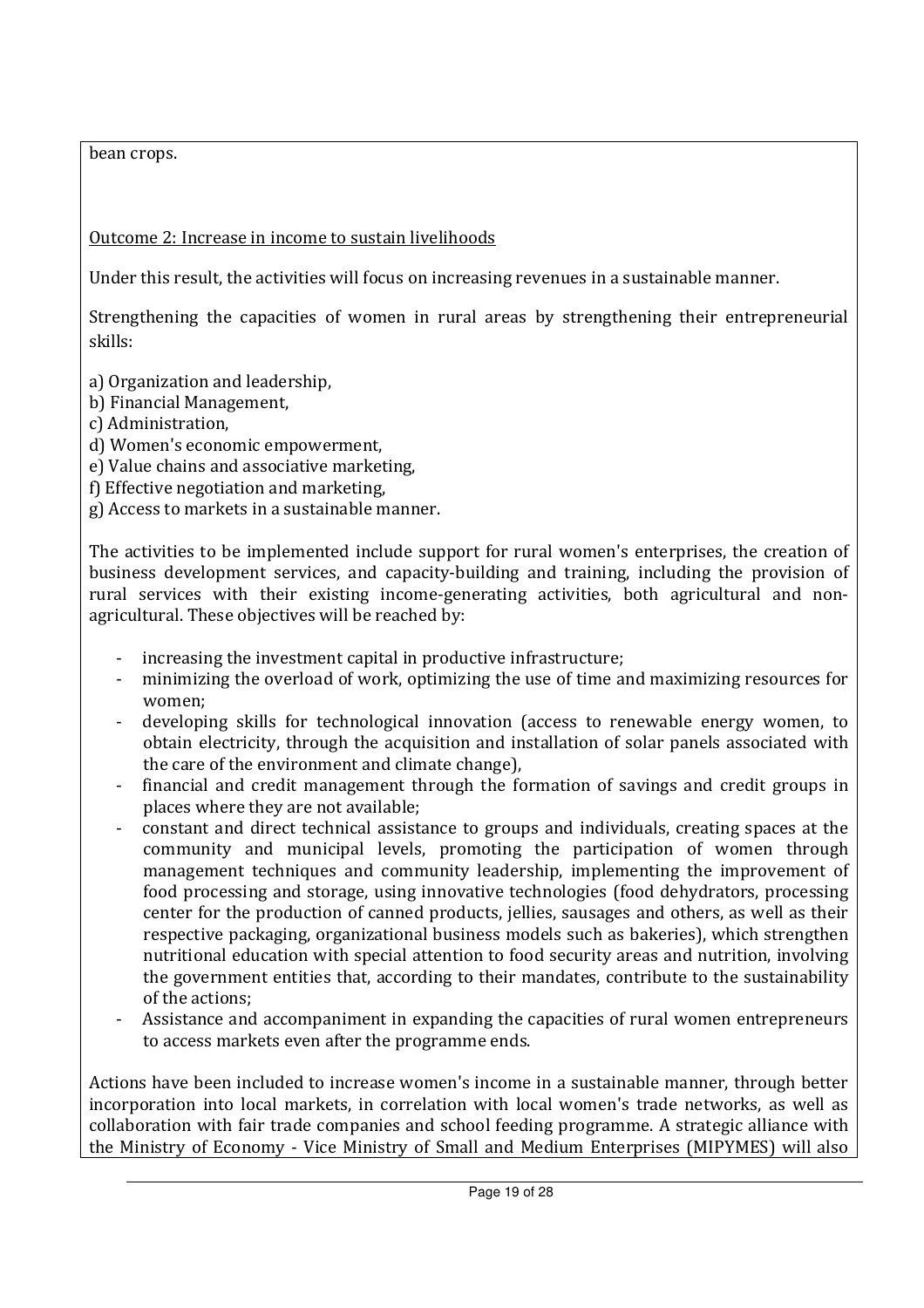bean crops.

## Outcome 2: Increase in income to sustain livelihoods

Under this result, the activities will focus on increasing revenues in a sustainable manner.

Strengthening the capacities of women in rural areas by strengthening their entrepreneurial skills:

a) Organization and leadership,

- b) Financial Management,
- c) Administration,
- d) Women's economic empowerment,
- e) Value chains and associative marketing,
- f) Effective negotiation and marketing,
- g) Access to markets in a sustainable manner.

The activities to be implemented include support for rural women's enterprises, the creation of business development services, and capacity-building and training, including the provision of rural services with their existing income-generating activities, both agricultural and nonagricultural. These objectives will be reached by:

- increasing the investment capital in productive infrastructure;
- minimizing the overload of work, optimizing the use of time and maximizing resources for women;
- developing skills for technological innovation (access to renewable energy women, to obtain electricity, through the acquisition and installation of solar panels associated with the care of the environment and climate change),
- financial and credit management through the formation of savings and credit groups in places where they are not available;
- constant and direct technical assistance to groups and individuals, creating spaces at the community and municipal levels, promoting the participation of women through management techniques and community leadership, implementing the improvement of food processing and storage, using innovative technologies (food dehydrators, processing center for the production of canned products, jellies, sausages and others, as well as their respective packaging, organizational business models such as bakeries), which strengthen nutritional education with special attention to food security areas and nutrition, involving the government entities that, according to their mandates, contribute to the sustainability of the actions;
- Assistance and accompaniment in expanding the capacities of rural women entrepreneurs to access markets even after the programme ends.

Actions have been included to increase women's income in a sustainable manner, through better incorporation into local markets, in correlation with local women's trade networks, as well as collaboration with fair trade companies and school feeding programme. A strategic alliance with the Ministry of Economy - Vice Ministry of Small and Medium Enterprises (MIPYMES) will also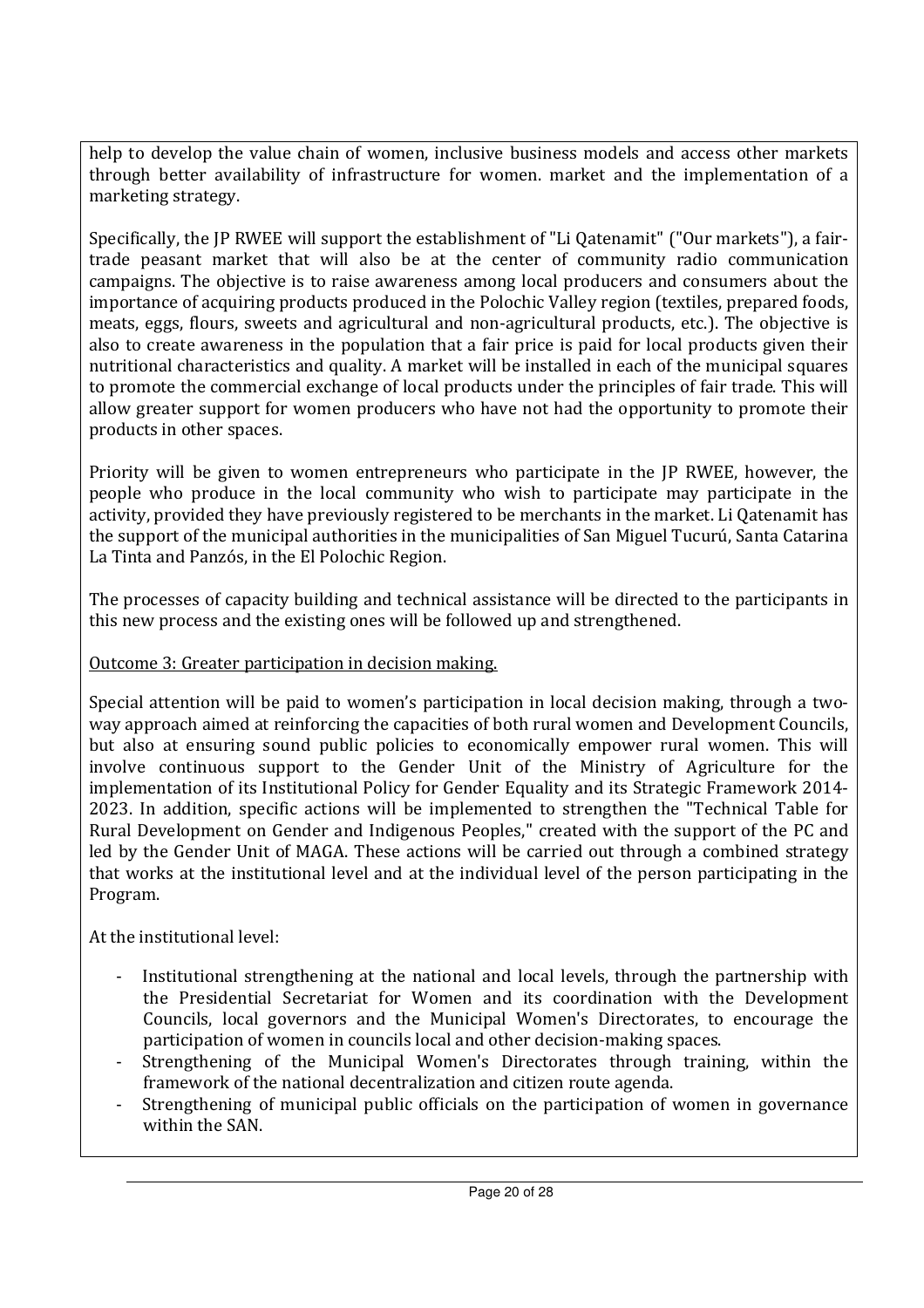help to develop the value chain of women, inclusive business models and access other markets through better availability of infrastructure for women. market and the implementation of a marketing strategy.

Specifically, the JP RWEE will support the establishment of "Li Qatenamit" ("Our markets"), a fairtrade peasant market that will also be at the center of community radio communication campaigns. The objective is to raise awareness among local producers and consumers about the importance of acquiring products produced in the Polochic Valley region (textiles, prepared foods, meats, eggs, flours, sweets and agricultural and non-agricultural products, etc.). The objective is also to create awareness in the population that a fair price is paid for local products given their nutritional characteristics and quality. A market will be installed in each of the municipal squares to promote the commercial exchange of local products under the principles of fair trade. This will allow greater support for women producers who have not had the opportunity to promote their products in other spaces.

Priority will be given to women entrepreneurs who participate in the JP RWEE, however, the people who produce in the local community who wish to participate may participate in the activity, provided they have previously registered to be merchants in the market. Li Qatenamit has the support of the municipal authorities in the municipalities of San Miguel Tucurú, Santa Catarina La Tinta and Panzós, in the El Polochic Region.

The processes of capacity building and technical assistance will be directed to the participants in this new process and the existing ones will be followed up and strengthened.

## Outcome 3: Greater participation in decision making.

Special attention will be paid to women's participation in local decision making, through a twoway approach aimed at reinforcing the capacities of both rural women and Development Councils, but also at ensuring sound public policies to economically empower rural women. This will involve continuous support to the Gender Unit of the Ministry of Agriculture for the implementation of its Institutional Policy for Gender Equality and its Strategic Framework 2014- 2023. In addition, specific actions will be implemented to strengthen the "Technical Table for Rural Development on Gender and Indigenous Peoples," created with the support of the PC and led by the Gender Unit of MAGA. These actions will be carried out through a combined strategy that works at the institutional level and at the individual level of the person participating in the Program.

At the institutional level:

- Institutional strengthening at the national and local levels, through the partnership with the Presidential Secretariat for Women and its coordination with the Development Councils, local governors and the Municipal Women's Directorates, to encourage the participation of women in councils local and other decision-making spaces.
- Strengthening of the Municipal Women's Directorates through training, within the framework of the national decentralization and citizen route agenda.
- Strengthening of municipal public officials on the participation of women in governance within the SAN.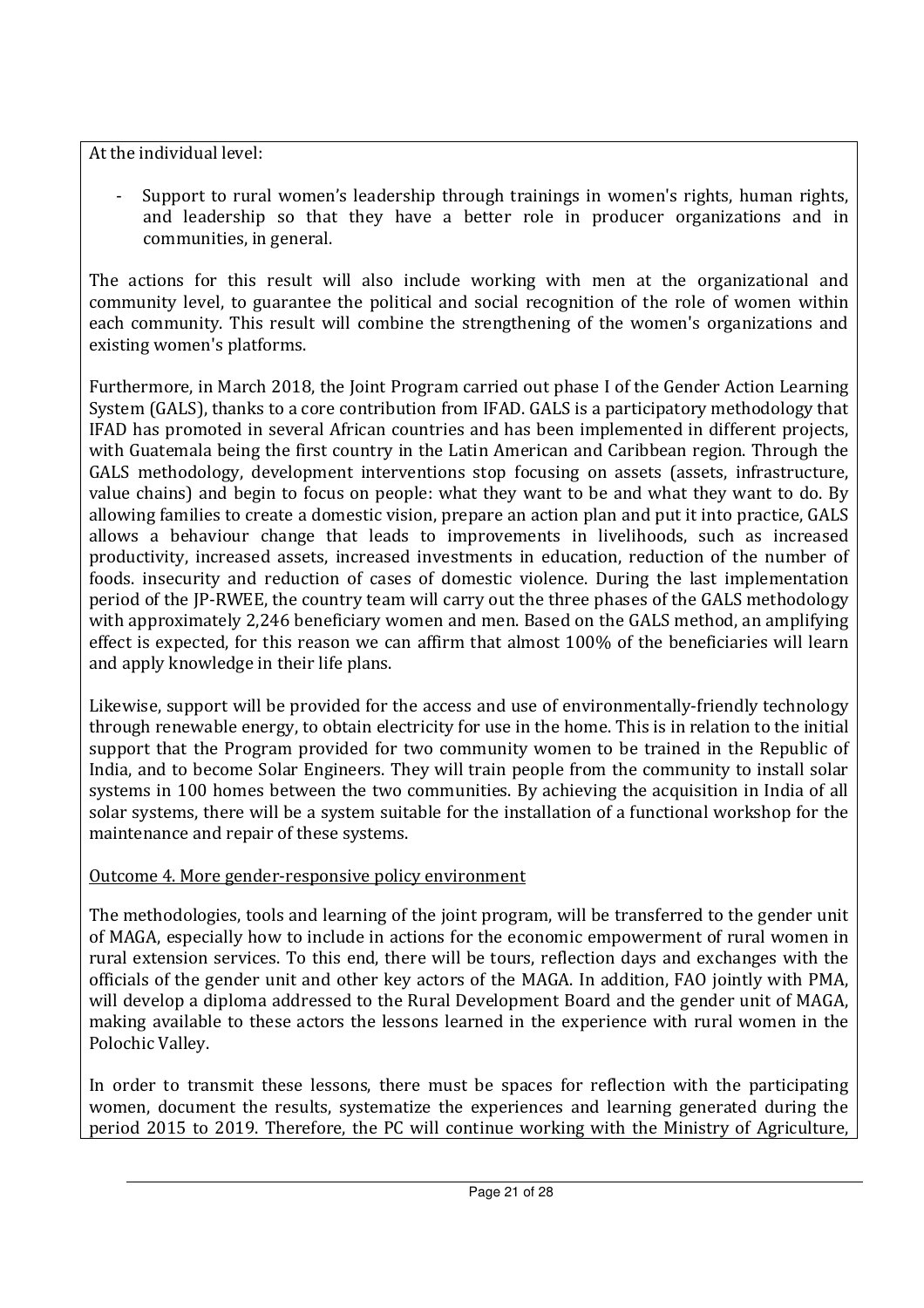At the individual level:

- Support to rural women's leadership through trainings in women's rights, human rights, and leadership so that they have a better role in producer organizations and in communities, in general.

The actions for this result will also include working with men at the organizational and community level, to guarantee the political and social recognition of the role of women within each community. This result will combine the strengthening of the women's organizations and existing women's platforms.

Furthermore, in March 2018, the Joint Program carried out phase I of the Gender Action Learning System (GALS), thanks to a core contribution from IFAD. GALS is a participatory methodology that IFAD has promoted in several African countries and has been implemented in different projects, with Guatemala being the first country in the Latin American and Caribbean region. Through the GALS methodology, development interventions stop focusing on assets (assets, infrastructure, value chains) and begin to focus on people: what they want to be and what they want to do. By allowing families to create a domestic vision, prepare an action plan and put it into practice, GALS allows a behaviour change that leads to improvements in livelihoods, such as increased productivity, increased assets, increased investments in education, reduction of the number of foods. insecurity and reduction of cases of domestic violence. During the last implementation period of the JP-RWEE, the country team will carry out the three phases of the GALS methodology with approximately 2,246 beneficiary women and men. Based on the GALS method, an amplifying effect is expected, for this reason we can affirm that almost 100% of the beneficiaries will learn and apply knowledge in their life plans.

Likewise, support will be provided for the access and use of environmentally-friendly technology through renewable energy, to obtain electricity for use in the home. This is in relation to the initial support that the Program provided for two community women to be trained in the Republic of India, and to become Solar Engineers. They will train people from the community to install solar systems in 100 homes between the two communities. By achieving the acquisition in India of all solar systems, there will be a system suitable for the installation of a functional workshop for the maintenance and repair of these systems.

## Outcome 4. More gender-responsive policy environment

The methodologies, tools and learning of the joint program, will be transferred to the gender unit of MAGA, especially how to include in actions for the economic empowerment of rural women in rural extension services. To this end, there will be tours, reflection days and exchanges with the officials of the gender unit and other key actors of the MAGA. In addition, FAO jointly with PMA, will develop a diploma addressed to the Rural Development Board and the gender unit of MAGA, making available to these actors the lessons learned in the experience with rural women in the Polochic Valley.

In order to transmit these lessons, there must be spaces for reflection with the participating women, document the results, systematize the experiences and learning generated during the period 2015 to 2019. Therefore, the PC will continue working with the Ministry of Agriculture,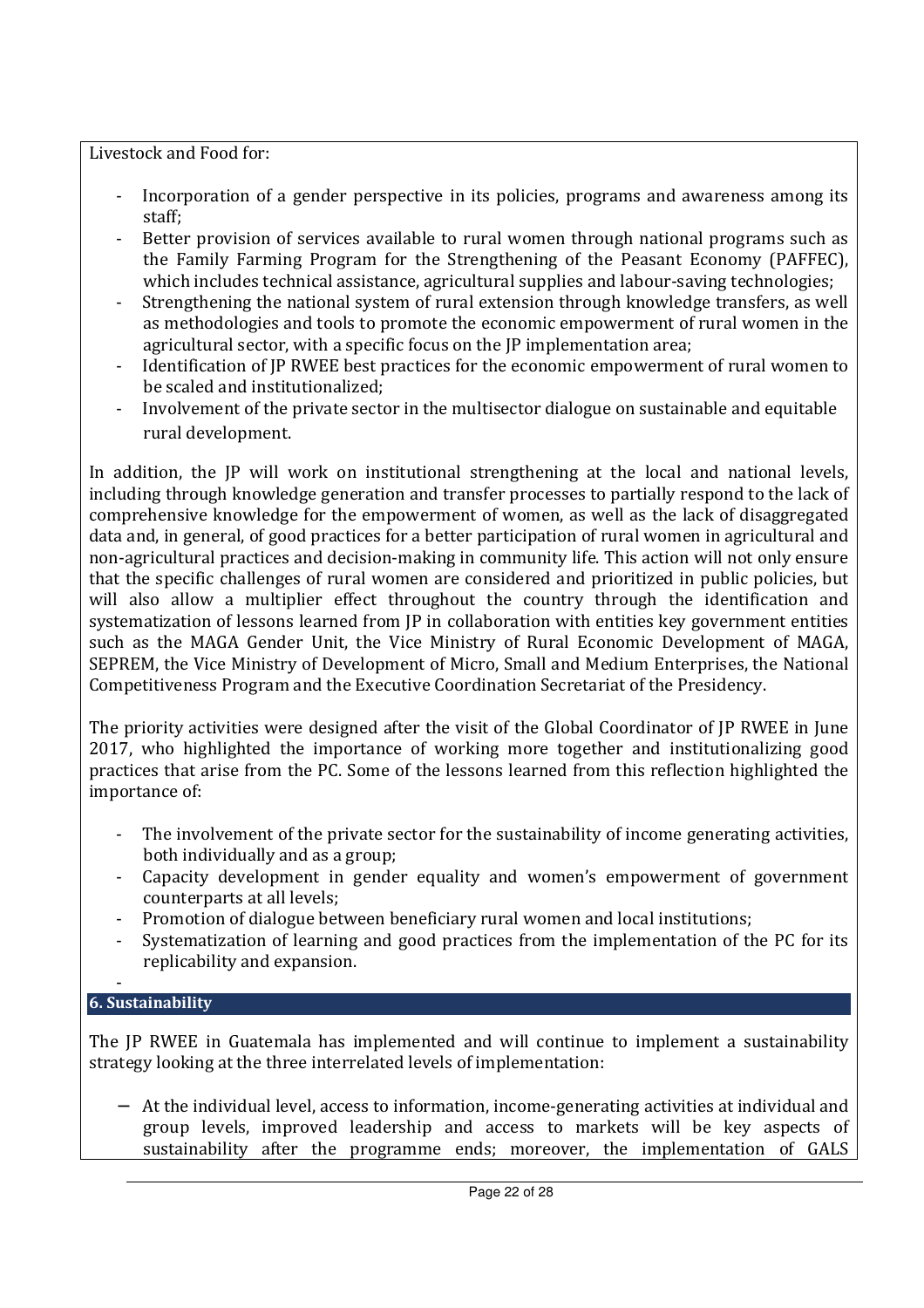Livestock and Food for:

- Incorporation of a gender perspective in its policies, programs and awareness among its staff;
- Better provision of services available to rural women through national programs such as the Family Farming Program for the Strengthening of the Peasant Economy (PAFFEC), which includes technical assistance, agricultural supplies and labour-saving technologies;
- Strengthening the national system of rural extension through knowledge transfers, as well as methodologies and tools to promote the economic empowerment of rural women in the agricultural sector, with a specific focus on the JP implementation area;
- Identification of JP RWEE best practices for the economic empowerment of rural women to be scaled and institutionalized;
- Involvement of the private sector in the multisector dialogue on sustainable and equitable rural development.

In addition, the JP will work on institutional strengthening at the local and national levels, including through knowledge generation and transfer processes to partially respond to the lack of comprehensive knowledge for the empowerment of women, as well as the lack of disaggregated data and, in general, of good practices for a better participation of rural women in agricultural and non-agricultural practices and decision-making in community life. This action will not only ensure that the specific challenges of rural women are considered and prioritized in public policies, but will also allow a multiplier effect throughout the country through the identification and systematization of lessons learned from JP in collaboration with entities key government entities such as the MAGA Gender Unit, the Vice Ministry of Rural Economic Development of MAGA, SEPREM, the Vice Ministry of Development of Micro, Small and Medium Enterprises, the National Competitiveness Program and the Executive Coordination Secretariat of the Presidency.

The priority activities were designed after the visit of the Global Coordinator of JP RWEE in June 2017, who highlighted the importance of working more together and institutionalizing good practices that arise from the PC. Some of the lessons learned from this reflection highlighted the importance of:

- The involvement of the private sector for the sustainability of income generating activities, both individually and as a group;
- Capacity development in gender equality and women's empowerment of government counterparts at all levels;
- Promotion of dialogue between beneficiary rural women and local institutions;
- Systematization of learning and good practices from the implementation of the PC for its replicability and expansion.

#### - **6. Sustainability**

The JP RWEE in Guatemala has implemented and will continue to implement a sustainability strategy looking at the three interrelated levels of implementation:

− At the individual level, access to information, income-generating activities at individual and group levels, improved leadership and access to markets will be key aspects of sustainability after the programme ends; moreover, the implementation of GALS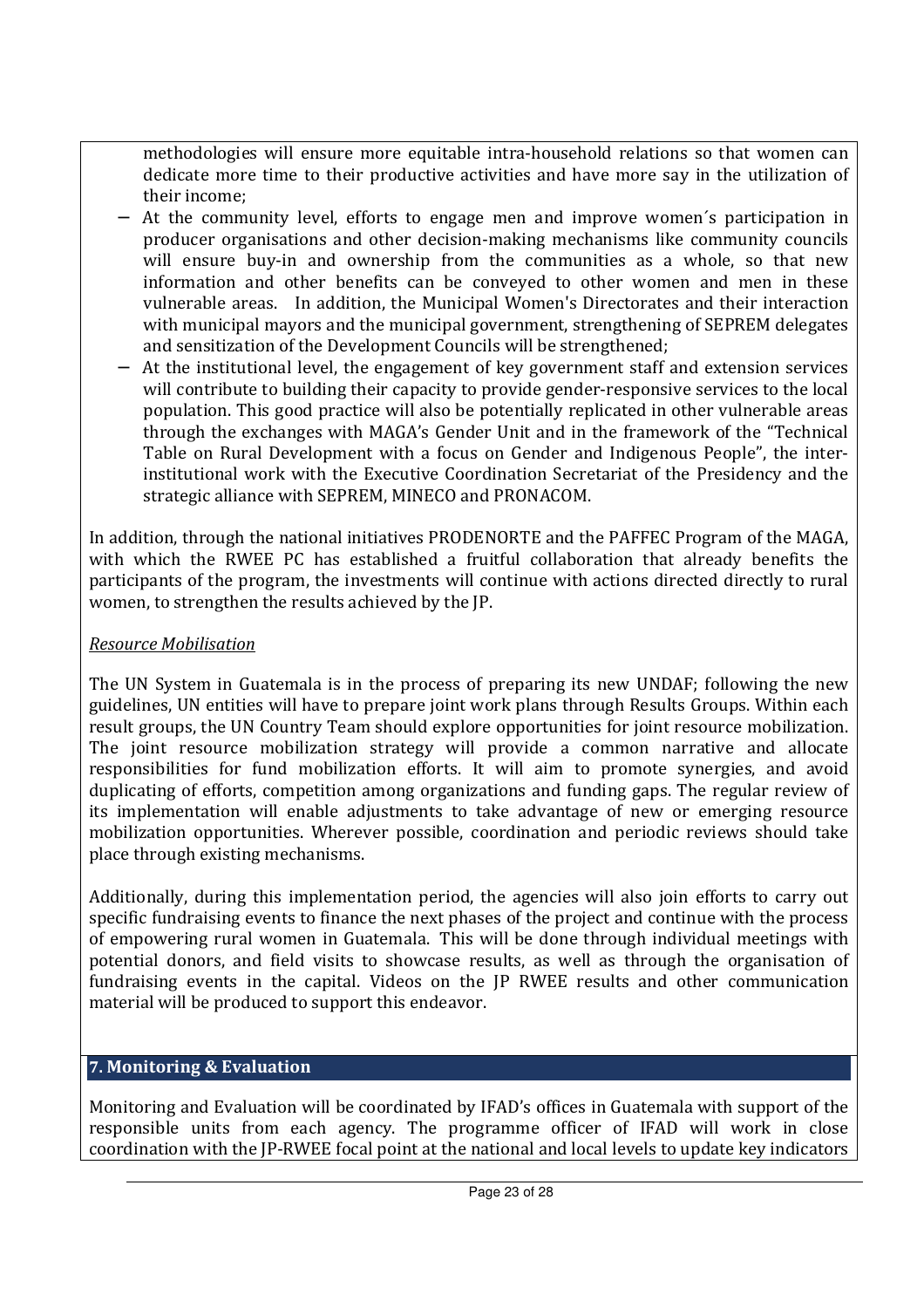methodologies will ensure more equitable intra-household relations so that women can dedicate more time to their productive activities and have more say in the utilization of their income;

- At the community level, efforts to engage men and improve women's participation in producer organisations and other decision-making mechanisms like community councils will ensure buy-in and ownership from the communities as a whole, so that new information and other benefits can be conveyed to other women and men in these vulnerable areas. In addition, the Municipal Women's Directorates and their interaction with municipal mayors and the municipal government, strengthening of SEPREM delegates and sensitization of the Development Councils will be strengthened;
- − At the institutional level, the engagement of key government staff and extension services will contribute to building their capacity to provide gender-responsive services to the local population. This good practice will also be potentially replicated in other vulnerable areas through the exchanges with MAGA's Gender Unit and in the framework of the "Technical Table on Rural Development with a focus on Gender and Indigenous People", the interinstitutional work with the Executive Coordination Secretariat of the Presidency and the strategic alliance with SEPREM, MINECO and PRONACOM.

In addition, through the national initiatives PRODENORTE and the PAFFEC Program of the MAGA, with which the RWEE PC has established a fruitful collaboration that already benefits the participants of the program, the investments will continue with actions directed directly to rural women, to strengthen the results achieved by the JP.

### *Resource Mobilisation*

The UN System in Guatemala is in the process of preparing its new UNDAF; following the new guidelines, UN entities will have to prepare joint work plans through Results Groups. Within each result groups, the UN Country Team should explore opportunities for joint resource mobilization. The joint resource mobilization strategy will provide a common narrative and allocate responsibilities for fund mobilization efforts. It will aim to promote synergies, and avoid duplicating of efforts, competition among organizations and funding gaps. The regular review of its implementation will enable adjustments to take advantage of new or emerging resource mobilization opportunities. Wherever possible, coordination and periodic reviews should take place through existing mechanisms.

Additionally, during this implementation period, the agencies will also join efforts to carry out specific fundraising events to finance the next phases of the project and continue with the process of empowering rural women in Guatemala. This will be done through individual meetings with potential donors, and field visits to showcase results, as well as through the organisation of fundraising events in the capital. Videos on the JP RWEE results and other communication material will be produced to support this endeavor.

### **7. Monitoring & Evaluation**

Monitoring and Evaluation will be coordinated by IFAD's offices in Guatemala with support of the responsible units from each agency. The programme officer of IFAD will work in close coordination with the JP-RWEE focal point at the national and local levels to update key indicators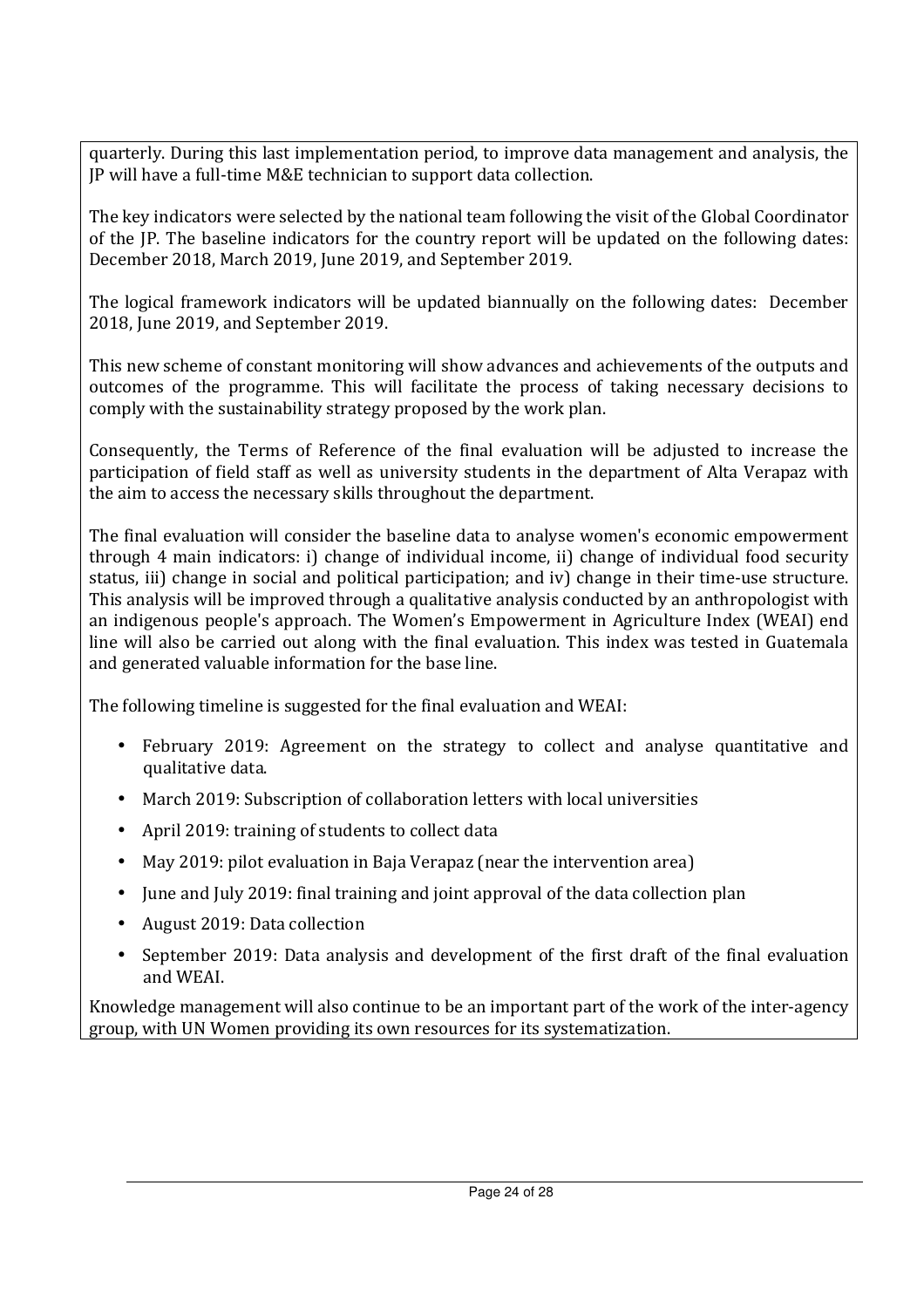quarterly. During this last implementation period, to improve data management and analysis, the JP will have a full-time M&E technician to support data collection.

The key indicators were selected by the national team following the visit of the Global Coordinator of the JP. The baseline indicators for the country report will be updated on the following dates: December 2018, March 2019, June 2019, and September 2019.

The logical framework indicators will be updated biannually on the following dates: December 2018, June 2019, and September 2019.

This new scheme of constant monitoring will show advances and achievements of the outputs and outcomes of the programme. This will facilitate the process of taking necessary decisions to comply with the sustainability strategy proposed by the work plan.

Consequently, the Terms of Reference of the final evaluation will be adjusted to increase the participation of field staff as well as university students in the department of Alta Verapaz with the aim to access the necessary skills throughout the department.

The final evaluation will consider the baseline data to analyse women's economic empowerment through 4 main indicators: i) change of individual income, ii) change of individual food security status, iii) change in social and political participation; and iv) change in their time-use structure. This analysis will be improved through a qualitative analysis conducted by an anthropologist with an indigenous people's approach. The Women's Empowerment in Agriculture Index (WEAI) end line will also be carried out along with the final evaluation. This index was tested in Guatemala and generated valuable information for the base line.

The following timeline is suggested for the final evaluation and WEAI:

- February 2019: Agreement on the strategy to collect and analyse quantitative and qualitative data.
- March 2019: Subscription of collaboration letters with local universities
- April 2019: training of students to collect data
- May 2019: pilot evaluation in Baja Verapaz (near the intervention area)
- June and July 2019: final training and joint approval of the data collection plan
- August 2019: Data collection
- September 2019: Data analysis and development of the first draft of the final evaluation and WEAI.

Knowledge management will also continue to be an important part of the work of the inter-agency group, with UN Women providing its own resources for its systematization.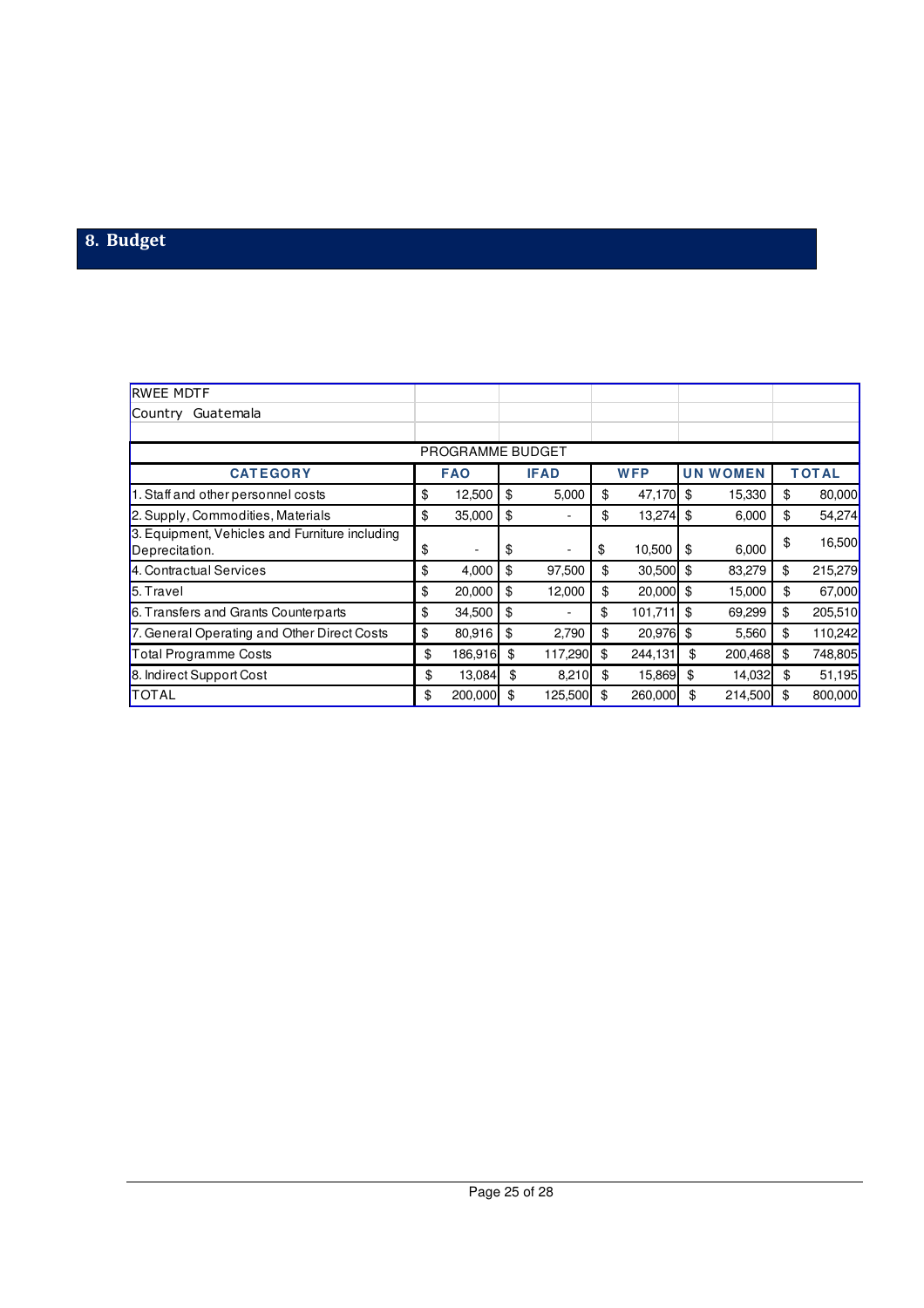## **8. Budget**

| <b>RWEE MDTF</b>                                                 |                  |               |                   |                 |               |
|------------------------------------------------------------------|------------------|---------------|-------------------|-----------------|---------------|
| Country Guatemala                                                |                  |               |                   |                 |               |
|                                                                  |                  |               |                   |                 |               |
|                                                                  | PROGRAMME BUDGET |               |                   |                 |               |
| <b>CATEGORY</b>                                                  | <b>FAO</b>       | <b>IFAD</b>   | <b>WFP</b>        | <b>UN WOMEN</b> | <b>TOTAL</b>  |
| 1. Staff and other personnel costs                               | \$<br>12,500     | \$<br>5,000   | \$<br>47,170      | \$<br>15,330    | \$<br>80,000  |
| 2. Supply, Commodities, Materials                                | \$<br>35,000     | \$            | \$<br>$13,274$ \$ | 6,000           | \$<br>54,274  |
| 3. Equipment, Vehicles and Furniture including<br>Deprecitation. | \$               | \$            | \$<br>10,500      | \$<br>6,000     | \$<br>16,500  |
| 4. Contractual Services                                          | \$<br>4,000      | \$<br>97,500  | \$<br>$30,500$ \$ | 83,279          | \$<br>215,279 |
| 5. Travel                                                        | \$<br>20,000     | \$<br>12,000  | \$<br>20,000      | \$<br>15,000    | \$<br>67,000  |
| 6. Transfers and Grants Counterparts                             | \$<br>34,500     | \$            | \$<br>101,711     | \$<br>69,299    | \$<br>205,510 |
| 7. General Operating and Other Direct Costs                      | \$<br>80,916     | \$<br>2,790   | \$<br>20,976      | \$<br>5,560     | \$<br>110,242 |
| Total Programme Costs                                            | \$<br>186,916    | \$<br>117,290 | \$<br>244,131     | \$<br>200,468   | \$<br>748,805 |
| 8. Indirect Support Cost                                         | \$<br>13,084     | \$<br>8,210   | \$<br>15,869      | \$<br>14,032    | \$<br>51,195  |
| <b>TOTAL</b>                                                     | \$<br>200,000    | 125,500       | \$<br>260,000     | \$<br>214,500   | \$<br>800,000 |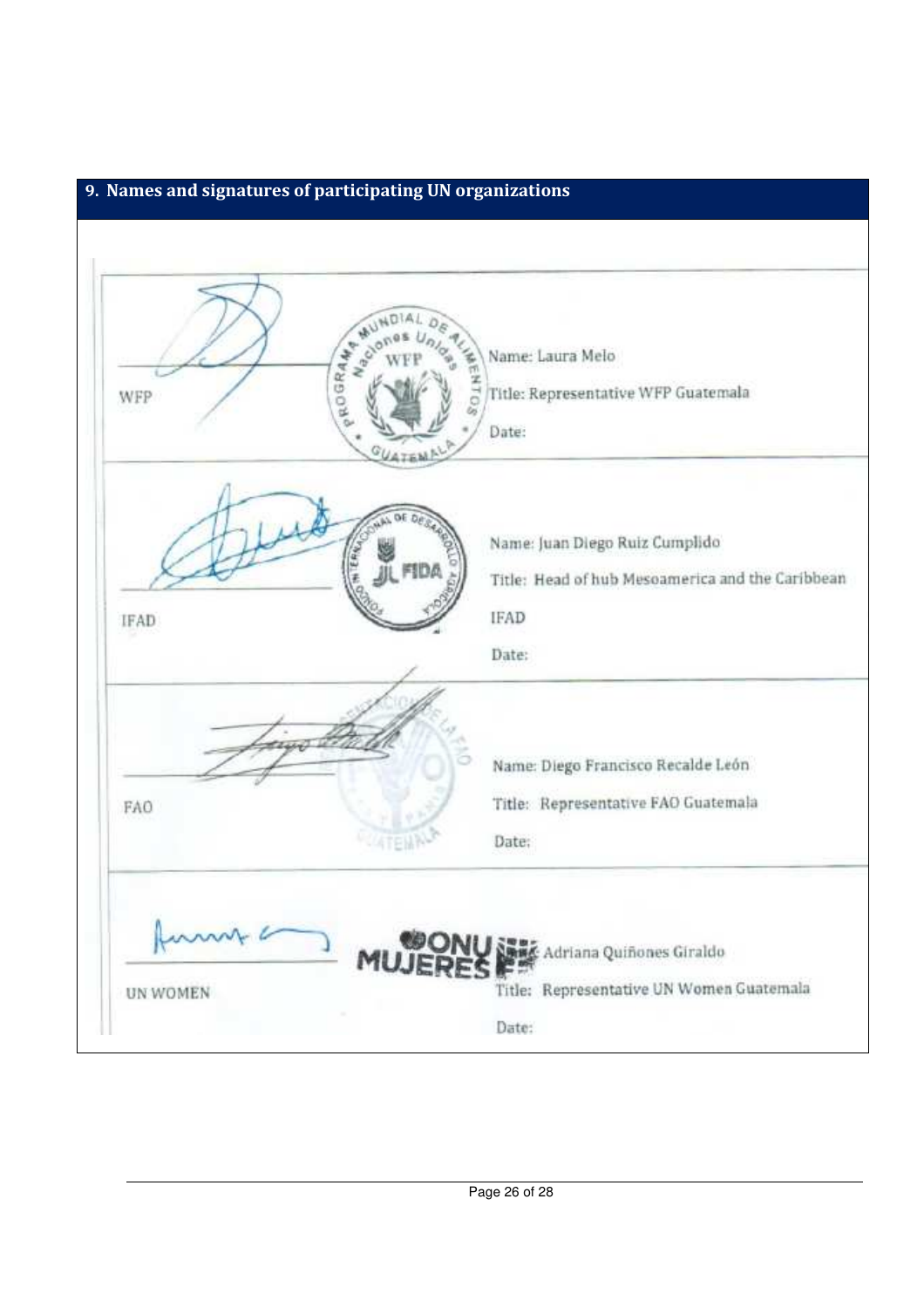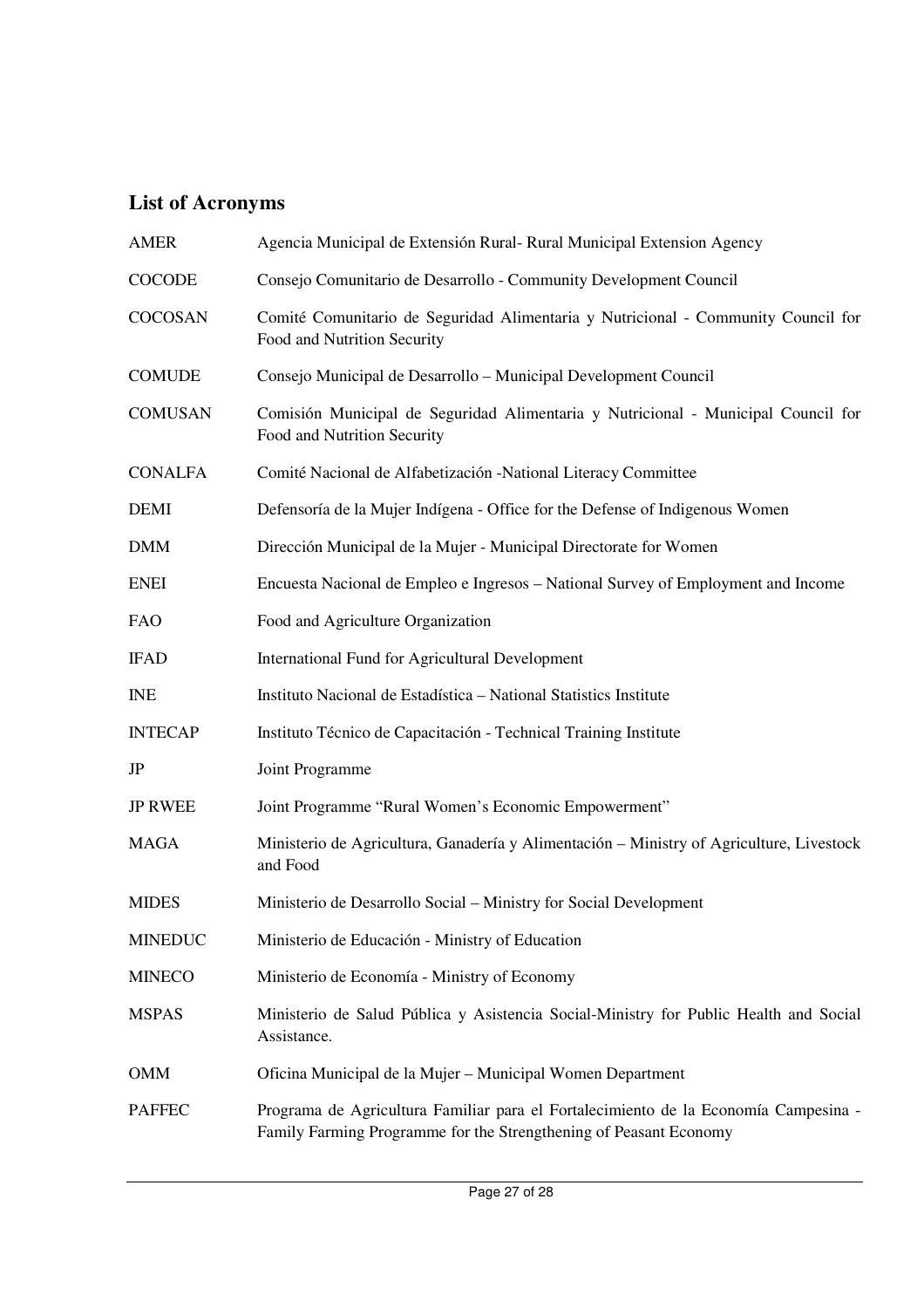# **List of Acronyms**

| <b>AMER</b>    | Agencia Municipal de Extensión Rural- Rural Municipal Extension Agency                                                                                   |  |  |  |
|----------------|----------------------------------------------------------------------------------------------------------------------------------------------------------|--|--|--|
| <b>COCODE</b>  | Consejo Comunitario de Desarrollo - Community Development Council                                                                                        |  |  |  |
| COCOSAN        | Comité Comunitario de Seguridad Alimentaria y Nutricional - Community Council for<br>Food and Nutrition Security                                         |  |  |  |
| <b>COMUDE</b>  | Consejo Municipal de Desarrollo – Municipal Development Council                                                                                          |  |  |  |
| <b>COMUSAN</b> | Comisión Municipal de Seguridad Alimentaria y Nutricional - Municipal Council for<br>Food and Nutrition Security                                         |  |  |  |
| <b>CONALFA</b> | Comité Nacional de Alfabetización -National Literacy Committee                                                                                           |  |  |  |
| <b>DEMI</b>    | Defensoría de la Mujer Indígena - Office for the Defense of Indigenous Women                                                                             |  |  |  |
| <b>DMM</b>     | Dirección Municipal de la Mujer - Municipal Directorate for Women                                                                                        |  |  |  |
| <b>ENEI</b>    | Encuesta Nacional de Empleo e Ingresos - National Survey of Employment and Income                                                                        |  |  |  |
| <b>FAO</b>     | Food and Agriculture Organization                                                                                                                        |  |  |  |
| <b>IFAD</b>    | International Fund for Agricultural Development                                                                                                          |  |  |  |
| <b>INE</b>     | Instituto Nacional de Estadística - National Statistics Institute                                                                                        |  |  |  |
| <b>INTECAP</b> | Instituto Técnico de Capacitación - Technical Training Institute                                                                                         |  |  |  |
| JP             | Joint Programme                                                                                                                                          |  |  |  |
| <b>JP RWEE</b> | Joint Programme "Rural Women's Economic Empowerment"                                                                                                     |  |  |  |
| <b>MAGA</b>    | Ministerio de Agricultura, Ganadería y Alimentación – Ministry of Agriculture, Livestock<br>and Food                                                     |  |  |  |
| <b>MIDES</b>   | Ministerio de Desarrollo Social – Ministry for Social Development                                                                                        |  |  |  |
| <b>MINEDUC</b> | Ministerio de Educación - Ministry of Education                                                                                                          |  |  |  |
| <b>MINECO</b>  | Ministerio de Economía - Ministry of Economy                                                                                                             |  |  |  |
| <b>MSPAS</b>   | Ministerio de Salud Pública y Asistencia Social-Ministry for Public Health and Social<br>Assistance.                                                     |  |  |  |
| <b>OMM</b>     | Oficina Municipal de la Mujer - Municipal Women Department                                                                                               |  |  |  |
| <b>PAFFEC</b>  | Programa de Agricultura Familiar para el Fortalecimiento de la Economía Campesina -<br>Family Farming Programme for the Strengthening of Peasant Economy |  |  |  |